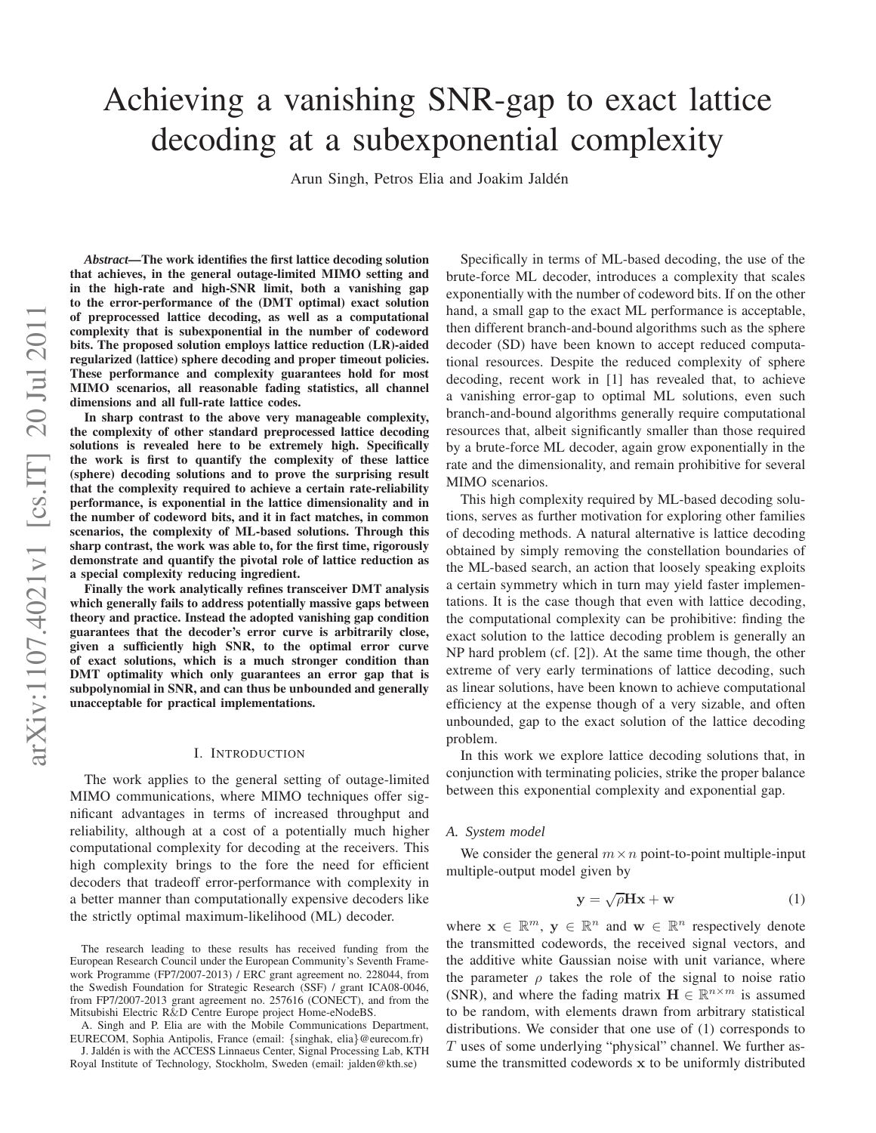# Achieving a vanishing SNR-gap to exact lattice decoding at a subexponential complexity

Arun Singh, Petros Elia and Joakim Jaldén

arXiv:1107.4021v1 [cs.IT] 20 Jul 2011 arXiv:1107.4021v1 [cs.IT] 20 Jul 2011

*Abstract***—The work identifies the first lattice decoding solution that achieves, in the general outage-limited MIMO setting and in the high-rate and high-SNR limit, both a vanishing gap to the error-performance of the (DMT optimal) exact solutio n of preprocessed lattice decoding, as well as a computationa l complexity that is subexponential in the number of codeword bits. The proposed solution employs lattice reduction (LR)-aided regularized (lattice) sphere decoding and proper timeout policies. These performance and complexity guarantees hold for most MIMO scenarios, all reasonable fading statistics, all channel dimensions and all full-rate lattice codes.**

**In sharp contrast to the above very manageable complexity, the complexity of other standard preprocessed lattice decoding solutions is revealed here to be extremely high. Specificall y the work is first to quantify the complexity of these lattice (sphere) decoding solutions and to prove the surprising result that the complexity required to achieve a certain rate-reliability performance, is exponential in the lattice dimensionality and in the number of codeword bits, and it in fact matches, in common scenarios, the complexity of ML-based solutions. Through this sharp contrast, the work was able to, for the first time, rigorously demonstrate and quantify the pivotal role of lattice reduction as a special complexity reducing ingredient.**

**Finally the work analytically refines transceiver DMT analysis which generally fails to address potentially massive gaps between theory and practice. Instead the adopted vanishing gap condition guarantees that the decoder's error curve is arbitrarily close, given a sufficiently high SNR, to the optimal error curve of exact solutions, which is a much stronger condition than DMT optimality which only guarantees an error gap that is subpolynomial in SNR, and can thus be unbounded and generall y unacceptable for practical implementations.**

### I. INTRODUCTION

The work applies to the general setting of outage-limited MIMO communications, where MIMO techniques offer significant advantages in terms of increased throughput and reliability, although at a cost of a potentially much higher computational complexity for decoding at the receivers. This high complexity brings to the fore the need for efficient decoders that tradeoff error-performance with complexity in a better manner than computationally expensive decoders like the strictly optimal maximum-likelihood (ML) decoder.

A. Singh and P. Elia are with the Mobile Communications Department, EURECOM, Sophia Antipolis, France (email: {singhak, elia }@eurecom.fr)

J. Jaldén is with the ACCESS Linnaeus Center, Signal Processing Lab, KTH Royal Institute of Technology, Stockholm, Sweden (email: jalden@kth.se)

Specifically in terms of ML-based decoding, the use of the brute-force ML decoder, introduces a complexity that scale s exponentially with the number of codeword bits. If on the other hand, a small gap to the exact ML performance is acceptable, then different branch-and-bound algorithms such as the sphere decoder (SD) have been known to accept reduced computational resources. Despite the reduced complexity of sphere decoding, recent work in [1] has revealed that, to achieve a vanishing error-gap to optimal ML solutions, even such branch-and-bound algorithms generally require computational resources that, albeit significantly smaller than those required by a brute-force ML decoder, again grow exponentially in the rate and the dimensionality, and remain prohibitive for several MIMO scenarios.

This high complexity required by ML-based decoding solutions, serves as further motivation for exploring other families of decoding methods. A natural alternative is lattice decoding obtained by simply removing the constellation boundaries o f the ML-based search, an action that loosely speaking exploits a certain symmetry which in turn may yield faster implementations. It is the case though that even with lattice decoding, the computational complexity can be prohibitive: finding th e exact solution to the lattice decoding problem is generally an NP hard problem (cf. [2]). At the same time though, the other extreme of very early terminations of lattice decoding, suc h as linear solutions, have been known to achieve computational efficiency at the expense though of a very sizable, and often unbounded, gap to the exact solution of the lattice decoding problem.

In this work we explore lattice decoding solutions that, in conjunction with terminating policies, strike the proper balance between this exponential complexity and exponential gap.

#### *A. System model*

We consider the general  $m \times n$  point-to-point multiple-input multiple-output model given by

$$
y = \sqrt{\rho}Hx + w \tag{1}
$$

where  $\mathbf{x} \in \mathbb{R}^m$ ,  $\mathbf{y} \in \mathbb{R}^n$  and  $\mathbf{w} \in \mathbb{R}^n$  respectively denote the transmitted codewords, the received signal vectors, an d the additive white Gaussian noise with unit variance, where the parameter  $\rho$  takes the role of the signal to noise ratio (SNR), and where the fading matrix  $\mathbf{H} \in \mathbb{R}^{n \times m}$  is assumed to be random, with elements drawn from arbitrary statistica l distributions. We consider that one use of (1) corresponds to  $T$  uses of some underlying "physical" channel. We further assume the transmitted codewords x to be uniformly distributed

The research leading to these results has received funding from the European Research Council under the European Community's Seventh Framework Programme (FP7/2007-2013) / ERC grant agreement no. 228044, from the Swedish Foundation for Strategic Research (SSF) / grant ICA08-0046, from FP7/2007-2013 grant agreement no. 257616 (CONECT), and from the Mitsubishi Electric R &D Centre Europe project Home-eNodeBS.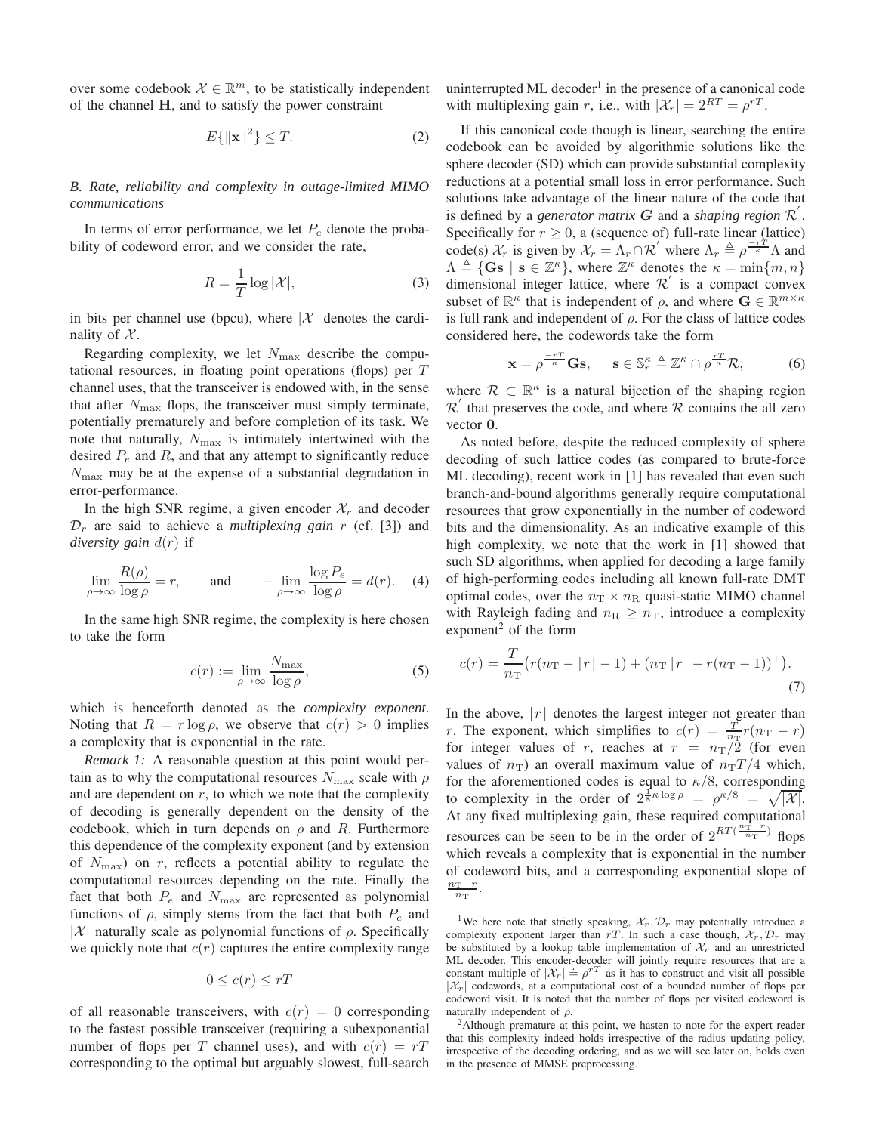over some codebook  $\mathcal{X} \in \mathbb{R}^m$ , to be statistically independent of the channel H, and to satisfy the power constraint

$$
E\{\|\mathbf{x}\|^2\} \le T. \tag{2}
$$

*B. Rate, reliability and complexity in outage-limited MIMO communications*

In terms of error performance, we let  $P_e$  denote the probability of codeword error, and we consider the rate,

$$
R = \frac{1}{T} \log |\mathcal{X}|,\tag{3}
$$

in bits per channel use (bpcu), where  $|\mathcal{X}|$  denotes the cardinality of  $X$ .

Regarding complexity, we let  $N_{\text{max}}$  describe the computational resources, in floating point operations (flops) per  $T$ channel uses, that the transceiver is endowed with, in the sense that after  $N_{\text{max}}$  flops, the transceiver must simply terminate, potentially prematurely and before completion of its task. We note that naturally,  $N_{\text{max}}$  is intimately intertwined with the desired  $P_e$  and  $R$ , and that any attempt to significantly reduce  $N_{\text{max}}$  may be at the expense of a substantial degradation in error-performance.

In the high SNR regime, a given encoder  $\mathcal{X}_r$  and decoder  $\mathcal{D}_r$  are said to achieve a *multiplexing gain*  $r$  (cf. [3]) and *diversity gain* d(r) if

$$
\lim_{\rho \to \infty} \frac{R(\rho)}{\log \rho} = r, \quad \text{and} \quad -\lim_{\rho \to \infty} \frac{\log P_e}{\log \rho} = d(r). \quad (4)
$$

In the same high SNR regime, the complexity is here chosen to take the form

$$
c(r) := \lim_{\rho \to \infty} \frac{N_{\text{max}}}{\log \rho},\tag{5}
$$

which is henceforth denoted as the *complexity exponent*. Noting that  $R = r \log \rho$ , we observe that  $c(r) > 0$  implies a complexity that is exponential in the rate.

*Remark 1:* A reasonable question at this point would pertain as to why the computational resources  $N_{\text{max}}$  scale with  $\rho$ and are dependent on  $r$ , to which we note that the complexity of decoding is generally dependent on the density of the codebook, which in turn depends on  $\rho$  and R. Furthermore this dependence of the complexity exponent (and by extension of  $N_{\text{max}}$ ) on r, reflects a potential ability to regulate the computational resources depending on the rate. Finally the fact that both  $P_e$  and  $N_{\text{max}}$  are represented as polynomial functions of  $\rho$ , simply stems from the fact that both  $P_e$  and |X| naturally scale as polynomial functions of  $\rho$ . Specifically we quickly note that  $c(r)$  captures the entire complexity range

$$
0 \le c(r) \le rT
$$

of all reasonable transceivers, with  $c(r) = 0$  corresponding to the fastest possible transceiver (requiring a subexponential number of flops per T channel uses), and with  $c(r) = rT$ corresponding to the optimal but arguably slowest, full-search

uninterrupted ML decoder<sup>1</sup> in the presence of a canonical code with multiplexing gain r, i.e., with  $|\mathcal{X}_r| = 2^{RT} = \rho^{rT}$ .

If this canonical code though is linear, searching the entire codebook can be avoided by algorithmic solutions like the sphere decoder (SD) which can provide substantial complexity reductions at a potential small loss in error performance. Such solutions take advantage of the linear nature of the code that is defined by a *generator matrix*  $G$  and a *shaping region*  $\mathcal{R}'$ . Specifically for  $r \geq 0$ , a (sequence of) full-rate linear (lattice) code(s)  $\mathcal{X}_r$  is given by  $\mathcal{X}_r = \Lambda_r \cap \mathcal{R}'$  where  $\Lambda_r \triangleq \rho \frac{-r\hat{T}}{\kappa} \Lambda$  and  $\Lambda \triangleq \{ \mathbf{G}\mathbf{s} \mid \mathbf{s} \in \mathbb{Z}^{\kappa} \}$ , where  $\mathbb{Z}^{\kappa}$  denotes the  $\kappa = \min\{m, n\}$ dimensional integer lattice, where  $\mathcal{R}'$  is a compact convex subset of  $\mathbb{R}^{\kappa}$  that is independent of  $\rho$ , and where  $\mathbf{G} \in \mathbb{R}^{m \times \kappa}$ is full rank and independent of  $\rho$ . For the class of lattice codes considered here, the codewords take the form

$$
\mathbf{x} = \rho^{\frac{-rT}{\kappa}} \mathbf{G} \mathbf{s}, \quad \mathbf{s} \in \mathbb{S}_r^{\kappa} \triangleq \mathbb{Z}^{\kappa} \cap \rho^{\frac{rT}{\kappa}} \mathcal{R}, \tag{6}
$$

where  $\mathcal{R} \subset \mathbb{R}^k$  is a natural bijection of the shaping region  $\overline{\mathcal{R}}'$  that preserves the code, and where  $\overline{\mathcal{R}}$  contains the all zero vector 0.

As noted before, despite the reduced complexity of sphere decoding of such lattice codes (as compared to brute-force ML decoding), recent work in [1] has revealed that even such branch-and-bound algorithms generally require computational resources that grow exponentially in the number of codeword bits and the dimensionality. As an indicative example of this high complexity, we note that the work in [1] showed that such SD algorithms, when applied for decoding a large family of high-performing codes including all known full-rate DMT optimal codes, over the  $n_T \times n_R$  quasi-static MIMO channel with Rayleigh fading and  $n_R \geq n_T$ , introduce a complexity exponent<sup>2</sup> of the form

$$
c(r) = \frac{T}{n_{\rm T}} \left( r(n_{\rm T} - \lfloor r \rfloor - 1) + (n_{\rm T} \lfloor r \rfloor - r(n_{\rm T} - 1))^+ \right). \tag{7}
$$

In the above,  $|r|$  denotes the largest integer not greater than r. The exponent, which simplifies to  $c(r) = \frac{T}{n_{\rm T}} r(n_{\rm T} - r)$ for integer values of r, reaches at  $r = n_T/2$  (for even values of  $n_T$ ) an overall maximum value of  $n_T/T/4$  which, for the aforementioned codes is equal to  $\kappa/8$ , corresponding to complexity in the order of  $2^{\frac{1}{8}\kappa \log \rho} = \rho^{\kappa/8} = \sqrt{|\mathcal{X}|}$ . At any fixed multiplexing gain, these required computational resources can be seen to be in the order of  $2^{RT(\frac{n_1^n-r}{n_T})}$  flops which reveals a complexity that is exponential in the number of codeword bits, and a corresponding exponential slope of  $\frac{n_{\mathrm{T}}-r}{n_{\mathrm{T}}}.$ 

<sup>1</sup>We here note that strictly speaking,  $\mathcal{X}_r, \mathcal{D}_r$  may potentially introduce a complexity exponent larger than rT. In such a case though,  $\mathcal{X}_r, \mathcal{D}_r$  may be substituted by a lookup table implementation of  $\mathcal{X}_r$  and an unrestricted ML decoder. This encoder-decoder will jointly require resources that are a constant multiple of  $|\mathcal{X}_r| = \rho^{rT}$  as it has to construct and visit all possible  $|\mathcal{X}_r|$  codewords, at a computational cost of a bounded number of flops per codeword visit. It is noted that the number of flops per visited codeword is naturally independent of  $\rho$ .

<sup>2</sup>Although premature at this point, we hasten to note for the expert reader that this complexity indeed holds irrespective of the radius updating policy, irrespective of the decoding ordering, and as we will see later on, holds even in the presence of MMSE preprocessing.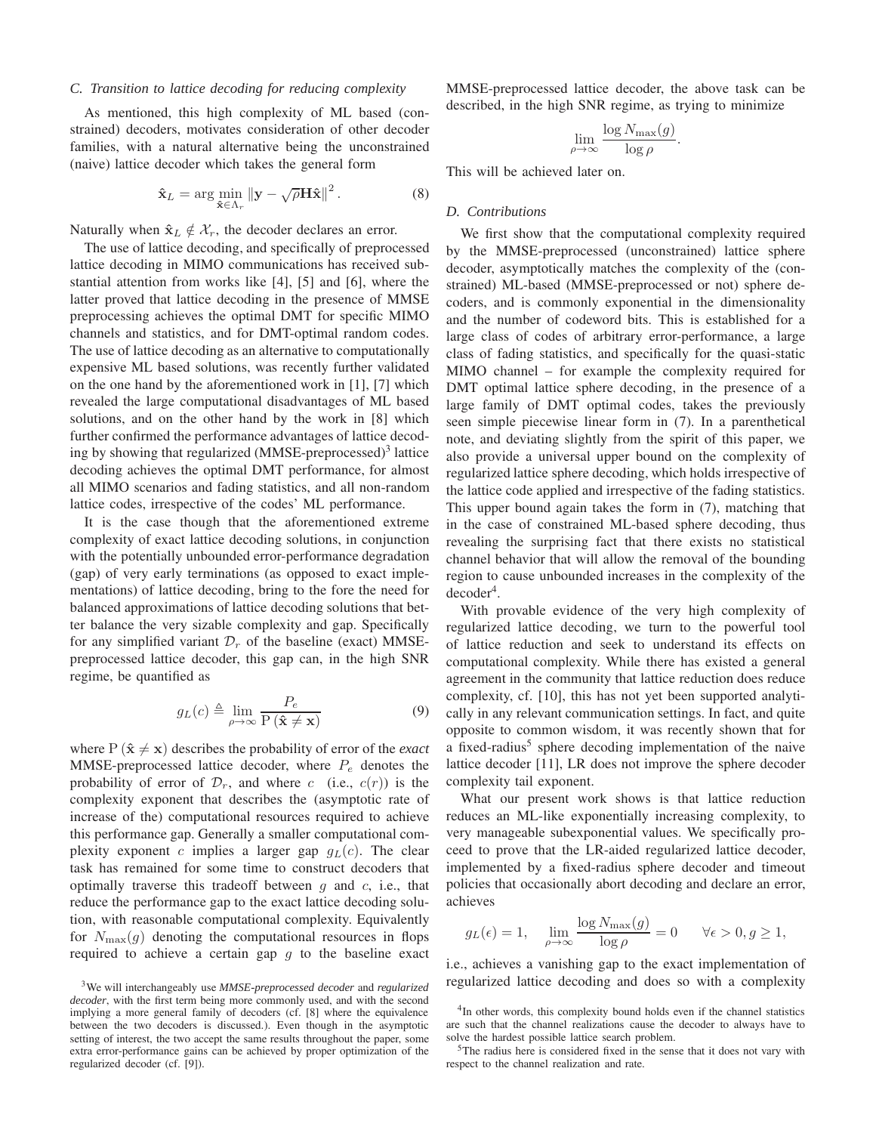#### *C. Transition to lattice decoding for reducing complexity*

As mentioned, this high complexity of ML based (constrained) decoders, motivates consideration of other decoder families, with a natural alternative being the unconstrained (naive) lattice decoder which takes the general form

$$
\hat{\mathbf{x}}_L = \arg\min_{\hat{\mathbf{x}} \in \Lambda_r} \|\mathbf{y} - \sqrt{\rho} \mathbf{H} \hat{\mathbf{x}}\|^2. \tag{8}
$$

Naturally when  $\hat{\mathbf{x}}_L \notin \mathcal{X}_r$ , the decoder declares an error.

The use of lattice decoding, and specifically of preprocessed lattice decoding in MIMO communications has received substantial attention from works like [4], [5] and [6], where the latter proved that lattice decoding in the presence of MMSE preprocessing achieves the optimal DMT for specific MIMO channels and statistics, and for DMT-optimal random codes. The use of lattice decoding as an alternative to computationally expensive ML based solutions, was recently further validated on the one hand by the aforementioned work in [1], [7] which revealed the large computational disadvantages of ML based solutions, and on the other hand by the work in [8] which further confirmed the performance advantages of lattice decoding by showing that regularized (MMSE-preprocessed)<sup>3</sup> lattice decoding achieves the optimal DMT performance, for almost all MIMO scenarios and fading statistics, and all non-random lattice codes, irrespective of the codes' ML performance.

It is the case though that the aforementioned extreme complexity of exact lattice decoding solutions, in conjunction with the potentially unbounded error-performance degradation (gap) of very early terminations (as opposed to exact implementations) of lattice decoding, bring to the fore the need for balanced approximations of lattice decoding solutions that better balance the very sizable complexity and gap. Specifically for any simplified variant  $\mathcal{D}_r$  of the baseline (exact) MMSEpreprocessed lattice decoder, this gap can, in the high SNR regime, be quantified as

$$
g_L(c) \triangleq \lim_{\rho \to \infty} \frac{P_e}{P(\hat{\mathbf{x}} \neq \mathbf{x})}
$$
(9)

where  $P(\hat{x} \neq x)$  describes the probability of error of the *exact* MMSE-preprocessed lattice decoder, where  $P_e$  denotes the probability of error of  $\mathcal{D}_r$ , and where c (i.e.,  $c(r)$ ) is the complexity exponent that describes the (asymptotic rate of increase of the) computational resources required to achieve this performance gap. Generally a smaller computational complexity exponent c implies a larger gap  $q_L(c)$ . The clear task has remained for some time to construct decoders that optimally traverse this tradeoff between  $q$  and  $c$ , i.e., that reduce the performance gap to the exact lattice decoding solution, with reasonable computational complexity. Equivalently for  $N_{\text{max}}(g)$  denoting the computational resources in flops required to achieve a certain gap  $q$  to the baseline exact

MMSE-preprocessed lattice decoder, the above task can be described, in the high SNR regime, as trying to minimize

$$
\lim_{\rho \to \infty} \frac{\log N_{\max}(g)}{\log \rho}.
$$

This will be achieved later on.

## *D. Contributions*

We first show that the computational complexity required by the MMSE-preprocessed (unconstrained) lattice sphere decoder, asymptotically matches the complexity of the (constrained) ML-based (MMSE-preprocessed or not) sphere decoders, and is commonly exponential in the dimensionality and the number of codeword bits. This is established for a large class of codes of arbitrary error-performance, a large class of fading statistics, and specifically for the quasi-static MIMO channel – for example the complexity required for DMT optimal lattice sphere decoding, in the presence of a large family of DMT optimal codes, takes the previously seen simple piecewise linear form in (7). In a parenthetical note, and deviating slightly from the spirit of this paper, we also provide a universal upper bound on the complexity of regularized lattice sphere decoding, which holds irrespective of the lattice code applied and irrespective of the fading statistics. This upper bound again takes the form in (7), matching that in the case of constrained ML-based sphere decoding, thus revealing the surprising fact that there exists no statistical channel behavior that will allow the removal of the bounding region to cause unbounded increases in the complexity of the  $decoder<sup>4</sup>$ .

With provable evidence of the very high complexity of regularized lattice decoding, we turn to the powerful tool of lattice reduction and seek to understand its effects on computational complexity. While there has existed a general agreement in the community that lattice reduction does reduce complexity, cf. [10], this has not yet been supported analytically in any relevant communication settings. In fact, and quite opposite to common wisdom, it was recently shown that for a fixed-radius<sup>5</sup> sphere decoding implementation of the naive lattice decoder [11], LR does not improve the sphere decoder complexity tail exponent.

What our present work shows is that lattice reduction reduces an ML-like exponentially increasing complexity, to very manageable subexponential values. We specifically proceed to prove that the LR-aided regularized lattice decoder, implemented by a fixed-radius sphere decoder and timeout policies that occasionally abort decoding and declare an error, achieves

$$
g_L(\epsilon) = 1
$$
,  $\lim_{\rho \to \infty} \frac{\log N_{\text{max}}(g)}{\log \rho} = 0$   $\forall \epsilon > 0, g \ge 1$ ,

i.e., achieves a vanishing gap to the exact implementation of regularized lattice decoding and does so with a complexity

<sup>3</sup>We will interchangeably use *MMSE-preprocessed decoder* and *regularized decoder*, with the first term being more commonly used, and with the second implying a more general family of decoders (cf. [8] where the equivalence between the two decoders is discussed.). Even though in the asymptotic setting of interest, the two accept the same results throughout the paper, some extra error-performance gains can be achieved by proper optimization of the regularized decoder (cf. [9]).

<sup>&</sup>lt;sup>4</sup>In other words, this complexity bound holds even if the channel statistics are such that the channel realizations cause the decoder to always have to solve the hardest possible lattice search problem.

<sup>5</sup>The radius here is considered fixed in the sense that it does not vary with respect to the channel realization and rate.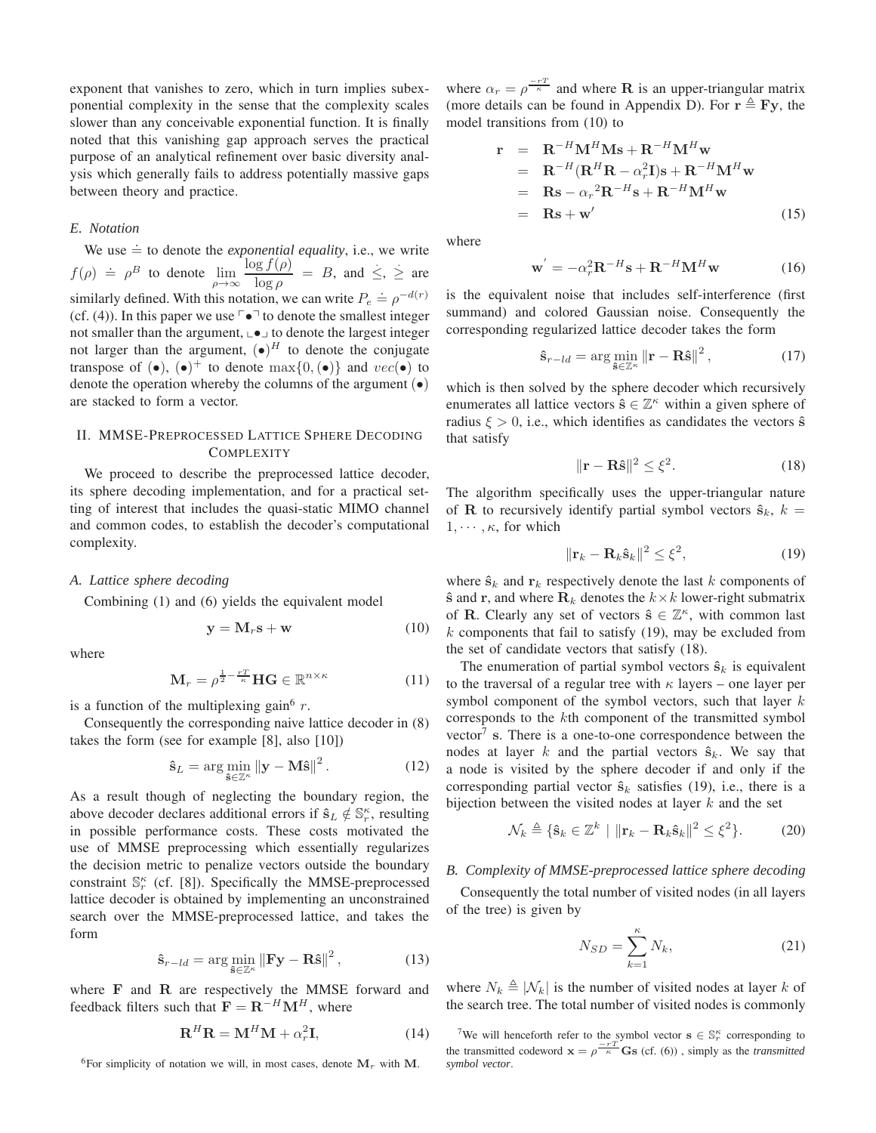exponent that vanishes to zero, which in turn implies subexponential complexity in the sense that the complexity scales slower than any conceivable exponential function. It is finally noted that this vanishing gap approach serves the practical purpose of an analytical refinement over basic diversity analysis which generally fails to address potentially massive gaps between theory and practice.

## *E. Notation*

We use  $\dot{=}$  to denote the *exponential equality*, i.e., we write  $f(\rho) \doteq \rho^B$  to denote  $\lim_{\rho \to \infty}$  $\log f(\rho)$  $\frac{\log f(\rho)}{\log \rho} = B$ , and  $\leq$ ,  $\geq$  are similarly defined. With this notation, we can write  $P_e \doteq \rho^{-d(r)}$ (cf. (4)). In this paper we use  $\lceil \bullet \rceil$  to denote the smallest integer not smaller than the argument,  $\Box \bullet \Box$  to denote the largest integer not larger than the argument,  $(\bullet)^H$  to denote the conjugate transpose of  $(\bullet)$ ,  $(\bullet)^+$  to denote  $\max\{0, (\bullet)\}\$  and  $vec(\bullet)$  to denote the operation whereby the columns of the argument (•) are stacked to form a vector.

## II. MMSE-PREPROCESSED LATTICE SPHERE DECODING **COMPLEXITY**

We proceed to describe the preprocessed lattice decoder, its sphere decoding implementation, and for a practical setting of interest that includes the quasi-static MIMO channel and common codes, to establish the decoder's computational complexity.

#### *A. Lattice sphere decoding*

Combining (1) and (6) yields the equivalent model

$$
y = M_r s + w \tag{10}
$$

where

$$
\mathbf{M}_r = \rho^{\frac{1}{2} - \frac{rT}{\kappa}} \mathbf{H} \mathbf{G} \in \mathbb{R}^{n \times \kappa}
$$
 (11)

is a function of the multiplexing gain<sup>6</sup>  $r$ .

Consequently the corresponding naive lattice decoder in (8) takes the form (see for example [8], also [10])

$$
\hat{\mathbf{s}}_L = \arg\min_{\hat{\mathbf{s}} \in \mathbb{Z}^\kappa} \|\mathbf{y} - \mathbf{M}\hat{\mathbf{s}}\|^2. \tag{12}
$$

As a result though of neglecting the boundary region, the above decoder declares additional errors if  $\hat{\mathbf{s}}_L \notin \mathbb{S}_r^{\kappa}$ , resulting in possible performance costs. These costs motivated the use of MMSE preprocessing which essentially regularizes the decision metric to penalize vectors outside the boundary constraint  $\mathbb{S}_r^{\kappa}$  (cf. [8]). Specifically the MMSE-preprocessed lattice decoder is obtained by implementing an unconstrained search over the MMSE-preprocessed lattice, and takes the form

$$
\hat{\mathbf{s}}_{r-ld} = \arg\min_{\hat{\mathbf{s}} \in \mathbb{Z}^{\kappa}} \left\| \mathbf{F} \mathbf{y} - \mathbf{R} \hat{\mathbf{s}} \right\|^2, \tag{13}
$$

where F and R are respectively the MMSE forward and feedback filters such that  $\mathbf{F} = \mathbf{R}^{-H} \mathbf{M}^{H}$ , where

$$
\mathbf{R}^{H}\mathbf{R} = \mathbf{M}^{H}\mathbf{M} + \alpha_{r}^{2}\mathbf{I},\tag{14}
$$

<sup>6</sup>For simplicity of notation we will, in most cases, denote  $M_r$  with M.

where  $\alpha_r = \rho^{\frac{-rT}{\kappa}}$  and where **R** is an upper-triangular matrix (more details can be found in Appendix D). For  $\mathbf{r} \triangleq \mathbf{Fy}$ , the model transitions from (10) to

$$
\mathbf{r} = \mathbf{R}^{-H} \mathbf{M}^{H} \mathbf{M} \mathbf{s} + \mathbf{R}^{-H} \mathbf{M}^{H} \mathbf{w}
$$
  
\n
$$
= \mathbf{R}^{-H} (\mathbf{R}^{H} \mathbf{R} - \alpha_{r}^{2}) \mathbf{s} + \mathbf{R}^{-H} \mathbf{M}^{H} \mathbf{w}
$$
  
\n
$$
= \mathbf{R} \mathbf{s} - \alpha_{r}^{2} \mathbf{R}^{-H} \mathbf{s} + \mathbf{R}^{-H} \mathbf{M}^{H} \mathbf{w}
$$
  
\n
$$
= \mathbf{R} \mathbf{s} + \mathbf{w}'
$$
 (15)

where

$$
\mathbf{w}' = -\alpha_r^2 \mathbf{R}^{-H} \mathbf{s} + \mathbf{R}^{-H} \mathbf{M}^H \mathbf{w} \tag{16}
$$

is the equivalent noise that includes self-interference (first summand) and colored Gaussian noise. Consequently the corresponding regularized lattice decoder takes the form

$$
\hat{\mathbf{s}}_{r-ld} = \arg\min_{\hat{\mathbf{s}} \in \mathbb{Z}^{\kappa}} \left\| \mathbf{r} - \mathbf{R}\hat{\mathbf{s}} \right\|^2, \tag{17}
$$

which is then solved by the sphere decoder which recursively enumerates all lattice vectors  $\hat{\mathbf{s}} \in \mathbb{Z}^{\kappa}$  within a given sphere of radius  $\xi > 0$ , i.e., which identifies as candidates the vectors  $\hat{\mathbf{s}}$ that satisfy

$$
\|\mathbf{r} - \mathbf{R}\hat{\mathbf{s}}\|^2 \le \xi^2. \tag{18}
$$

The algorithm specifically uses the upper-triangular nature of **R** to recursively identify partial symbol vectors  $\hat{\mathbf{s}}_k$ ,  $k =$  $1, \cdots, \kappa$ , for which

$$
\|\mathbf{r}_k - \mathbf{R}_k \hat{\mathbf{s}}_k\|^2 \le \xi^2,\tag{19}
$$

where  $\hat{\mathbf{s}}_k$  and  $\mathbf{r}_k$  respectively denote the last k components of  $\hat{\mathbf{s}}$  and  $\mathbf{r}$ , and where  $\mathbf{R}_k$  denotes the  $k \times k$  lower-right submatrix of **R**. Clearly any set of vectors  $\hat{\mathbf{s}} \in \mathbb{Z}^{\kappa}$ , with common last k components that fail to satisfy  $(19)$ , may be excluded from the set of candidate vectors that satisfy (18).

The enumeration of partial symbol vectors  $\hat{\mathbf{s}}_k$  is equivalent to the traversal of a regular tree with  $\kappa$  layers – one layer per symbol component of the symbol vectors, such that layer  $k$ corresponds to the kth component of the transmitted symbol vector<sup>7</sup> s. There is a one-to-one correspondence between the nodes at layer k and the partial vectors  $\hat{\mathbf{s}}_k$ . We say that a node is visited by the sphere decoder if and only if the corresponding partial vector  $\hat{\mathbf{s}}_k$  satisfies (19), i.e., there is a bijection between the visited nodes at layer  $k$  and the set

$$
\mathcal{N}_k \triangleq \{ \hat{\mathbf{s}}_k \in \mathbb{Z}^k \mid \|\mathbf{r}_k - \mathbf{R}_k \hat{\mathbf{s}}_k\|^2 \le \xi^2 \}. \tag{20}
$$

## *B. Complexity of MMSE-preprocessed lattice sphere decoding*

Consequently the total number of visited nodes (in all layers of the tree) is given by

$$
N_{SD} = \sum_{k=1}^{\kappa} N_k, \tag{21}
$$

where  $N_k \triangleq |N_k|$  is the number of visited nodes at layer k of the search tree. The total number of visited nodes is commonly

<sup>7</sup>We will henceforth refer to the symbol vector  $\mathbf{s} \in \mathbb{S}_r^{\kappa}$  corresponding to the transmitted codeword  $\mathbf{x} = \rho \frac{-rT}{\kappa}$  **Gs** (cf. (6)), simply as the *transmitted symbol vector*.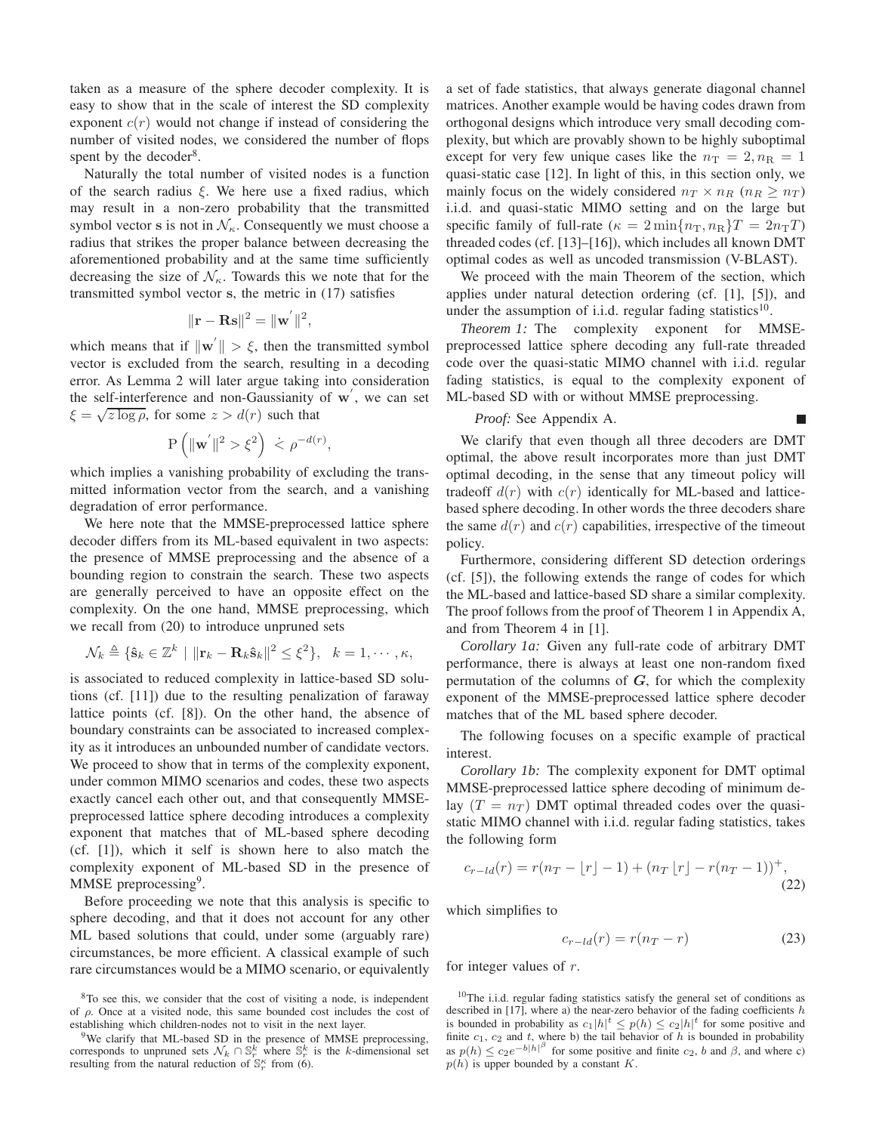taken as a measure of the sphere decoder complexity. It is easy to show that in the scale of interest the SD complexity exponent  $c(r)$  would not change if instead of considering the number of visited nodes, we considered the number of flops spent by the decoder<sup>8</sup>.

Naturally the total number of visited nodes is a function of the search radius  $\xi$ . We here use a fixed radius, which may result in a non-zero probability that the transmitted symbol vector s is not in  $\mathcal{N}_{\kappa}$ . Consequently we must choose a radius that strikes the proper balance between decreasing the aforementioned probability and at the same time sufficiently decreasing the size of  $\mathcal{N}_{\kappa}$ . Towards this we note that for the transmitted symbol vector s, the metric in (17) satisfies

$$
\|\mathbf{r}-\mathbf{Rs}\|^2=\|\mathbf{w}^{'}\|^2,
$$

which means that if  $\|\mathbf{w}'\| > \xi$ , then the transmitted symbol vector is excluded from the search, resulting in a decoding error. As Lemma 2 will later argue taking into consideration the self-interference and non-Gaussianity of  $w'$ , we can set  $\xi = \sqrt{z \log \rho}$ , for some  $z > d(r)$  such that

$$
P(|\mathbf{w}'|^2 > \xi^2) \le \rho^{-d(r)},
$$

which implies a vanishing probability of excluding the transmitted information vector from the search, and a vanishing degradation of error performance.

We here note that the MMSE-preprocessed lattice sphere decoder differs from its ML-based equivalent in two aspects: the presence of MMSE preprocessing and the absence of a bounding region to constrain the search. These two aspects are generally perceived to have an opposite effect on the complexity. On the one hand, MMSE preprocessing, which we recall from (20) to introduce unpruned sets

$$
\mathcal{N}_k \triangleq \{ \hat{\mathbf{s}}_k \in \mathbb{Z}^k \mid \|\mathbf{r}_k - \mathbf{R}_k \hat{\mathbf{s}}_k\|^2 \leq \xi^2 \}, \quad k = 1, \cdots, \kappa,
$$

is associated to reduced complexity in lattice-based SD solutions (cf. [11]) due to the resulting penalization of faraway lattice points (cf. [8]). On the other hand, the absence of boundary constraints can be associated to increased complexity as it introduces an unbounded number of candidate vectors. We proceed to show that in terms of the complexity exponent, under common MIMO scenarios and codes, these two aspects exactly cancel each other out, and that consequently MMSEpreprocessed lattice sphere decoding introduces a complexity exponent that matches that of ML-based sphere decoding (cf. [1]), which it self is shown here to also match the complexity exponent of ML-based SD in the presence of MMSE preprocessing<sup>9</sup>.

Before proceeding we note that this analysis is specific to sphere decoding, and that it does not account for any other ML based solutions that could, under some (arguably rare) circumstances, be more efficient. A classical example of such rare circumstances would be a MIMO scenario, or equivalently

a set of fade statistics, that always generate diagonal channel matrices. Another example would be having codes drawn from orthogonal designs which introduce very small decoding complexity, but which are provably shown to be highly suboptimal except for very few unique cases like the  $n_T = 2, n_R = 1$ quasi-static case [12]. In light of this, in this section only, we mainly focus on the widely considered  $n_T \times n_R$  ( $n_R \geq n_T$ ) i.i.d. and quasi-static MIMO setting and on the large but specific family of full-rate ( $\kappa = 2 \min\{n_{\rm T}, n_{\rm R}\}T = 2n_{\rm T}T$ ) threaded codes (cf. [13]–[16]), which includes all known DMT optimal codes as well as uncoded transmission (V-BLAST).

We proceed with the main Theorem of the section, which applies under natural detection ordering (cf. [1], [5]), and under the assumption of i.i.d. regular fading statistics<sup>10</sup>.

*Theorem 1:* The complexity exponent for MMSEpreprocessed lattice sphere decoding any full-rate threaded code over the quasi-static MIMO channel with i.i.d. regular fading statistics, is equal to the complexity exponent of ML-based SD with or without MMSE preprocessing.

## *Proof:* See Appendix A.

We clarify that even though all three decoders are DMT optimal, the above result incorporates more than just DMT optimal decoding, in the sense that any timeout policy will tradeoff  $d(r)$  with  $c(r)$  identically for ML-based and latticebased sphere decoding. In other words the three decoders share the same  $d(r)$  and  $c(r)$  capabilities, irrespective of the timeout policy.

Furthermore, considering different SD detection orderings (cf. [5]), the following extends the range of codes for which the ML-based and lattice-based SD share a similar complexity. The proof follows from the proof of Theorem 1 in Appendix A, and from Theorem 4 in [1].

*Corollary 1a:* Given any full-rate code of arbitrary DMT performance, there is always at least one non-random fixed permutation of the columns of  $G$ , for which the complexity exponent of the MMSE-preprocessed lattice sphere decoder matches that of the ML based sphere decoder.

The following focuses on a specific example of practical interest.

*Corollary 1b:* The complexity exponent for DMT optimal MMSE-preprocessed lattice sphere decoding of minimum delay  $(T = n_T)$  DMT optimal threaded codes over the quasistatic MIMO channel with i.i.d. regular fading statistics, takes the following form

$$
c_{r-ld}(r) = r(n_T - \lfloor r \rfloor - 1) + (n_T \lfloor r \rfloor - r(n_T - 1))^{+},
$$
\n(22)

which simplifies to

$$
c_{r-ld}(r) = r(n_T - r) \tag{23}
$$

for integer values of  $r$ .

<sup>8</sup>To see this, we consider that the cost of visiting a node, is independent of  $\rho$ . Once at a visited node, this same bounded cost includes the cost of establishing which children-nodes not to visit in the next layer.

<sup>&</sup>lt;sup>9</sup>We clarify that ML-based SD in the presence of MMSE preprocessing, corresponds to unpruned sets  $\mathcal{N}_k \cap \mathbb{S}_r^k$  where  $\mathbb{S}_r^k$  is the k-dimensional set resulting from the natural reduction of  $\mathbb{S}_r^{\kappa}$  from (6).

<sup>10</sup>The i.i.d. regular fading statistics satisfy the general set of conditions as described in [17], where a) the near-zero behavior of the fading coefficients  $h$ is bounded in probability as  $c_1|h|^t \leq p(h) \leq c_2|h|^t$  for some positive and finite  $c_1$ ,  $c_2$  and t, where b) the tail behavior of h is bounded in probability as  $p(h) \leq c_2 e^{-b|h|^\beta}$  for some positive and finite  $c_2$ , b and  $\beta$ , and where c)  $p(h)$  is upper bounded by a constant K.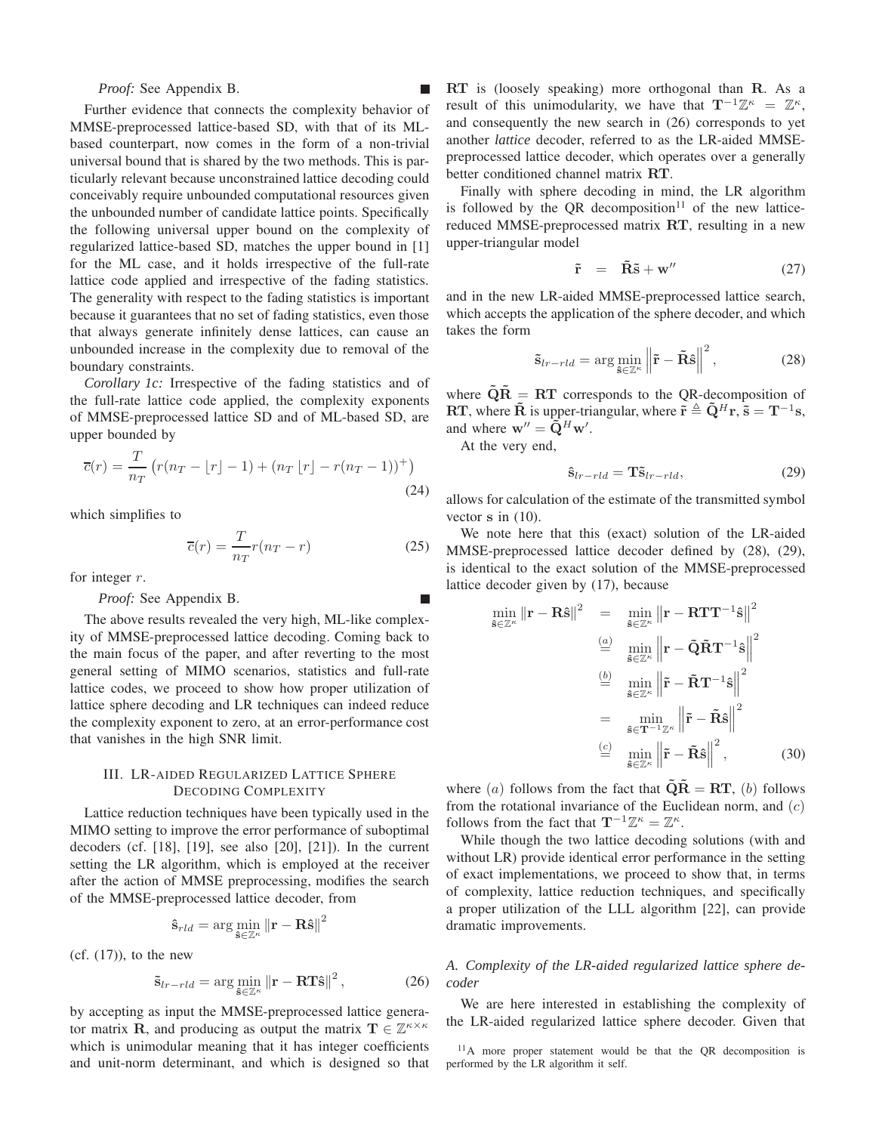*Proof:* See Appendix B.

Further evidence that connects the complexity behavior of MMSE-preprocessed lattice-based SD, with that of its MLbased counterpart, now comes in the form of a non-trivial universal bound that is shared by the two methods. This is particularly relevant because unconstrained lattice decoding could conceivably require unbounded computational resources given the unbounded number of candidate lattice points. Specifically the following universal upper bound on the complexity of regularized lattice-based SD, matches the upper bound in [1] for the ML case, and it holds irrespective of the full-rate lattice code applied and irrespective of the fading statistics. The generality with respect to the fading statistics is important because it guarantees that no set of fading statistics, even those that always generate infinitely dense lattices, can cause an unbounded increase in the complexity due to removal of the boundary constraints.

*Corollary 1c:* Irrespective of the fading statistics and of the full-rate lattice code applied, the complexity exponents of MMSE-preprocessed lattice SD and of ML-based SD, are upper bounded by

$$
\overline{c}(r) = \frac{T}{n_T} \left( r(n_T - \lfloor r \rfloor - 1) + (n_T \lfloor r \rfloor - r(n_T - 1))^+ \right)
$$
\n(24)

which simplifies to

$$
\overline{c}(r) = \frac{T}{n_T} r(n_T - r)
$$
\n(25)

for integer  $r$ .

## *Proof:* See Appendix B.

The above results revealed the very high, ML-like complexity of MMSE-preprocessed lattice decoding. Coming back to the main focus of the paper, and after reverting to the most general setting of MIMO scenarios, statistics and full-rate lattice codes, we proceed to show how proper utilization of lattice sphere decoding and LR techniques can indeed reduce the complexity exponent to zero, at an error-performance cost that vanishes in the high SNR limit.

## III. LR-AIDED REGULARIZED LATTICE SPHERE DECODING COMPLEXITY

Lattice reduction techniques have been typically used in the MIMO setting to improve the error performance of suboptimal decoders (cf. [18], [19], see also [20], [21]). In the current setting the LR algorithm, which is employed at the receiver after the action of MMSE preprocessing, modifies the search of the MMSE-preprocessed lattice decoder, from

$$
\mathbf{\hat{s}}_{rld} = \arg\min_{\mathbf{\hat{s}} \in \mathbb{Z}^\kappa} \|\mathbf{r} - \mathbf{R}\mathbf{\hat{s}}\|^2
$$

 $(cf. (17))$ , to the new

$$
\tilde{\mathbf{s}}_{lr-rld} = \arg\min_{\tilde{\mathbf{s}} \in \mathbb{Z}^{\kappa}} \left\| \mathbf{r} - \mathbf{RT}\hat{\mathbf{s}} \right\|^2, \tag{26}
$$

by accepting as input the MMSE-preprocessed lattice generator matrix **R**, and producing as output the matrix  $T \in \mathbb{Z}^{\kappa \times \kappa}$ which is unimodular meaning that it has integer coefficients and unit-norm determinant, and which is designed so that RT is (loosely speaking) more orthogonal than R. As a result of this unimodularity, we have that  $T^{-1}\mathbb{Z}^{\kappa} = \mathbb{Z}^{\kappa}$ , and consequently the new search in (26) corresponds to yet another *lattice* decoder, referred to as the LR-aided MMSEpreprocessed lattice decoder, which operates over a generally better conditioned channel matrix RT.

Finally with sphere decoding in mind, the LR algorithm is followed by the OR decomposition<sup>11</sup> of the new latticereduced MMSE-preprocessed matrix RT, resulting in a new upper-triangular model

$$
\tilde{\mathbf{r}} = \tilde{\mathbf{R}} \tilde{\mathbf{s}} + \mathbf{w}^{\prime\prime} \tag{27}
$$

and in the new LR-aided MMSE-preprocessed lattice search, which accepts the application of the sphere decoder, and which takes the form

$$
\tilde{\mathbf{s}}_{lr-rld} = \arg\min_{\tilde{\mathbf{s}} \in \mathbb{Z}^{\kappa}} \left\| \tilde{\mathbf{r}} - \tilde{\mathbf{R}} \hat{\mathbf{s}} \right\|^2, \tag{28}
$$

where  $\widetilde{Q}R = RT$  corresponds to the QR-decomposition of RT, where  $\tilde{\mathbf{R}}$  is upper-triangular, where  $\tilde{\mathbf{r}} \triangleq \tilde{\mathbf{Q}}^H \mathbf{r}$ ,  $\tilde{\mathbf{s}} = \mathbf{T}^{-1} \mathbf{s}$ , and where  $\mathbf{w}^{\prime\prime} = \widetilde{\mathbf{Q}}^H \mathbf{w}^{\prime}$ .

At the very end,

$$
\hat{\mathbf{s}}_{lr-rld} = \mathbf{T}\tilde{\mathbf{s}}_{lr-rld},\tag{29}
$$

allows for calculation of the estimate of the transmitted symbol vector s in (10).

We note here that this (exact) solution of the LR-aided MMSE-preprocessed lattice decoder defined by (28), (29), is identical to the exact solution of the MMSE-preprocessed lattice decoder given by (17), because

$$
\min_{\mathbf{\hat{s}} \in \mathbb{Z}^{\kappa}} \|\mathbf{r} - \mathbf{R}\mathbf{\hat{s}}\|^2 = \min_{\mathbf{\hat{s}} \in \mathbb{Z}^{\kappa}} \left\|\mathbf{r} - \mathbf{R}\mathbf{T}\mathbf{T}^{-1}\mathbf{\hat{s}}\right\|^2
$$

$$
\stackrel{(a)}{=} \min_{\mathbf{\hat{s}} \in \mathbb{Z}^{\kappa}} \left\|\mathbf{r} - \tilde{\mathbf{Q}}\tilde{\mathbf{R}}\mathbf{T}^{-1}\mathbf{\hat{s}}\right\|^2
$$

$$
\stackrel{(b)}{=} \min_{\mathbf{\hat{s}} \in \mathbb{Z}^{\kappa}} \left\|\tilde{\mathbf{r}} - \tilde{\mathbf{R}}\mathbf{T}^{-1}\mathbf{\hat{s}}\right\|^2
$$

$$
= \min_{\mathbf{\hat{s}} \in \mathbf{T}^{-1}\mathbb{Z}^{\kappa}} \left\|\tilde{\mathbf{r}} - \tilde{\mathbf{R}}\mathbf{\hat{s}}\right\|^2
$$

$$
\stackrel{(c)}{=} \min_{\mathbf{\hat{s}} \in \mathbb{Z}^{\kappa}} \left\|\tilde{\mathbf{r}} - \tilde{\mathbf{R}}\mathbf{\hat{s}}\right\|^2, \tag{30}
$$

where (a) follows from the fact that  $\tilde{\mathbf{Q}}\tilde{\mathbf{R}} = \mathbf{RT}$ , (b) follows from the rotational invariance of the Euclidean norm, and  $(c)$ follows from the fact that  $\mathbf{T}^{-1}\mathbb{Z}^{\kappa} = \mathbb{Z}^{\kappa}$ .

While though the two lattice decoding solutions (with and without LR) provide identical error performance in the setting of exact implementations, we proceed to show that, in terms of complexity, lattice reduction techniques, and specifically a proper utilization of the LLL algorithm [22], can provide dramatic improvements.

## *A. Complexity of the LR-aided regularized lattice sphere decoder*

We are here interested in establishing the complexity of the LR-aided regularized lattice sphere decoder. Given that

 $11$ A more proper statement would be that the OR decomposition is performed by the LR algorithm it self.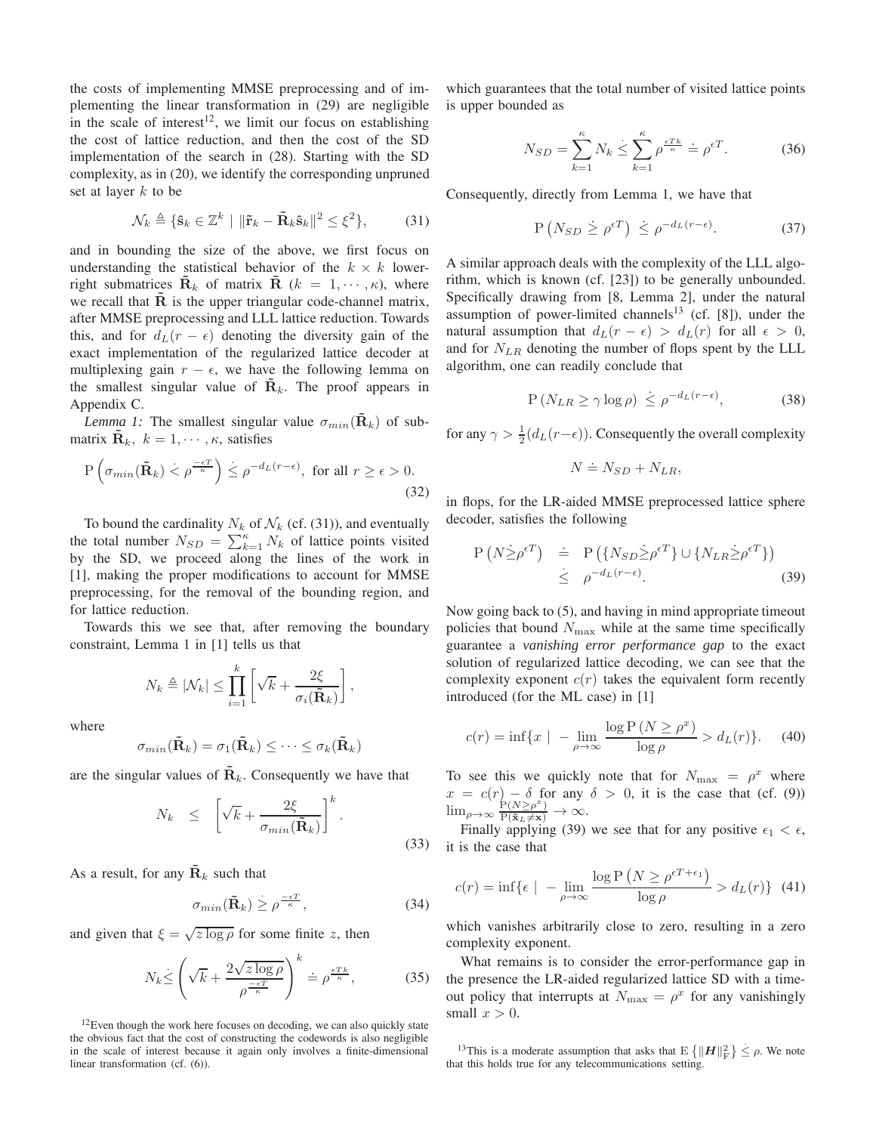the costs of implementing MMSE preprocessing and of implementing the linear transformation in (29) are negligible in the scale of interest<sup>12</sup>, we limit our focus on establishing the cost of lattice reduction, and then the cost of the SD implementation of the search in (28). Starting with the SD complexity, as in (20), we identify the corresponding unpruned set at layer  $k$  to be

$$
\mathcal{N}_k \triangleq \{ \hat{\mathbf{s}}_k \in \mathbb{Z}^k \mid \|\tilde{\mathbf{r}}_k - \tilde{\mathbf{R}}_k \hat{\mathbf{s}}_k\|^2 \le \xi^2 \},\tag{31}
$$

and in bounding the size of the above, we first focus on understanding the statistical behavior of the  $k \times k$  lowerright submatrices  $\tilde{\mathbf{R}}_k$  of matrix  $\tilde{\mathbf{R}}$  ( $k = 1, \dots, \kappa$ ), where we recall that  $\overline{R}$  is the upper triangular code-channel matrix, after MMSE preprocessing and LLL lattice reduction. Towards this, and for  $d<sub>L</sub>(r - \epsilon)$  denoting the diversity gain of the exact implementation of the regularized lattice decoder at multiplexing gain  $r - \epsilon$ , we have the following lemma on the smallest singular value of  $\mathbf{R}_k$ . The proof appears in Appendix C.

*Lemma 1:* The smallest singular value  $\sigma_{min}(\mathbf{R}_k)$  of submatrix  $\mathbf{R}_k$ ,  $k = 1, \dots, \kappa$ , satisfies

$$
P\left(\sigma_{min}(\tilde{\mathbf{R}}_k) < \rho^{\frac{-\epsilon T}{\kappa}}\right) \leq \rho^{-d_L(r-\epsilon)}, \text{ for all } r \geq \epsilon > 0. \tag{32}
$$

To bound the cardinality  $N_k$  of  $\mathcal{N}_k$  (cf. (31)), and eventually the total number  $N_{SD} = \sum_{k=1}^{k} N_k$  of lattice points visited by the SD, we proceed along the lines of the work in [1], making the proper modifications to account for MMSE preprocessing, for the removal of the bounding region, and for lattice reduction.

Towards this we see that, after removing the boundary constraint, Lemma 1 in [1] tells us that

$$
N_k \triangleq |\mathcal{N}_k| \leq \prod_{i=1}^k \left[ \sqrt{k} + \frac{2\xi}{\sigma_i(\tilde{\mathbf{R}}_k)} \right],
$$

where

$$
\sigma_{min}(\tilde{\mathbf{R}}_k) = \sigma_1(\tilde{\mathbf{R}}_k) \leq \cdots \leq \sigma_k(\tilde{\mathbf{R}}_k)
$$

are the singular values of  $\tilde{\mathbf{R}}_k$ . Consequently we have that

$$
N_k \leq \left[ \sqrt{k} + \frac{2\xi}{\sigma_{min}(\tilde{\mathbf{R}}_k)} \right]^k.
$$
\n(33)

As a result, for any  $\tilde{\mathbf{R}}_k$  such that

$$
\sigma_{min}(\tilde{\mathbf{R}}_k) \ge \rho^{\frac{-\epsilon T}{\kappa}},\tag{34}
$$

and given that  $\xi = \sqrt{z \log \rho}$  for some finite z, then

$$
N_k \le \left(\sqrt{k} + \frac{2\sqrt{z\log\rho}}{\rho^{\frac{-\epsilon T}{\kappa}}}\right)^k \doteq \rho^{\frac{\epsilon T k}{\kappa}},\tag{35}
$$

 $12$ Even though the work here focuses on decoding, we can also quickly state the obvious fact that the cost of constructing the codewords is also negligible in the scale of interest because it again only involves a finite-dimensional linear transformation (cf. (6)).

which guarantees that the total number of visited lattice points is upper bounded as

$$
N_{SD} = \sum_{k=1}^{\kappa} N_k \le \sum_{k=1}^{\kappa} \rho^{\frac{\epsilon T k}{\kappa}} = \rho^{\epsilon T}.
$$
 (36)

Consequently, directly from Lemma 1, we have that

$$
P\left(N_{SD} \geq \rho^{\epsilon T}\right) \leq \rho^{-d_L(r-\epsilon)}.
$$
 (37)

A similar approach deals with the complexity of the LLL algorithm, which is known (cf. [23]) to be generally unbounded. Specifically drawing from [8, Lemma 2], under the natural assumption of power-limited channels<sup>13</sup> (cf.  $[8]$ ), under the natural assumption that  $d_L(r - \epsilon) > d_L(r)$  for all  $\epsilon > 0$ , and for  $N_{LR}$  denoting the number of flops spent by the LLL algorithm, one can readily conclude that

$$
P\left(N_{LR} \ge \gamma \log \rho\right) \le \rho^{-d_L(r-\epsilon)},\tag{38}
$$

for any  $\gamma > \frac{1}{2}(d_L(r-\epsilon))$ . Consequently the overall complexity

$$
N \doteq N_{SD} + N_{LR},
$$

in flops, for the LR-aided MMSE preprocessed lattice sphere decoder, satisfies the following

$$
P(N \ge \rho^{\epsilon T}) = P(\{N_{SD} \ge \rho^{\epsilon T}\} \cup \{N_{LR} \ge \rho^{\epsilon T}\})
$$
  
 
$$
\le \rho^{-d_L(r-\epsilon)}.
$$
 (39)

Now going back to (5), and having in mind appropriate timeout policies that bound  $N_{\text{max}}$  while at the same time specifically guarantee a *vanishing error performance gap* to the exact solution of regularized lattice decoding, we can see that the complexity exponent  $c(r)$  takes the equivalent form recently introduced (for the ML case) in [1]

$$
c(r) = \inf\{x \mid -\lim_{\rho \to \infty} \frac{\log P\left(N \ge \rho^x\right)}{\log \rho} > d_L(r)\}.
$$
 (40)

To see this we quickly note that for  $N_{\text{max}} = \rho^x$  where  $x = c(r) - \delta$  for any  $\delta > 0$ , it is the case that (cf. (9))  $\lim_{\rho\to\infty} \frac{\overleftarrow{P}(N \geq \rho^x)}{P(\hat{\mathbf{x}}_L \neq \mathbf{x})} \to \infty.$ 

Finally applying (39) we see that for any positive  $\epsilon_1 < \epsilon$ , it is the case that

$$
c(r) = \inf \{ \epsilon \mid -\lim_{\rho \to \infty} \frac{\log P\left(N \ge \rho^{\epsilon T + \epsilon_1}\right)}{\log \rho} > d_L(r) \} \tag{41}
$$

which vanishes arbitrarily close to zero, resulting in a zero complexity exponent.

What remains is to consider the error-performance gap in the presence the LR-aided regularized lattice SD with a timeout policy that interrupts at  $N_{\text{max}} = \rho^x$  for any vanishingly small  $x > 0$ .

<sup>&</sup>lt;sup>13</sup>This is a moderate assumption that asks that  $E\left\{\|\boldsymbol{H}\|_{\text{F}}^2\right\} \leq \rho$ . We note that this holds true for any telecommunications setting.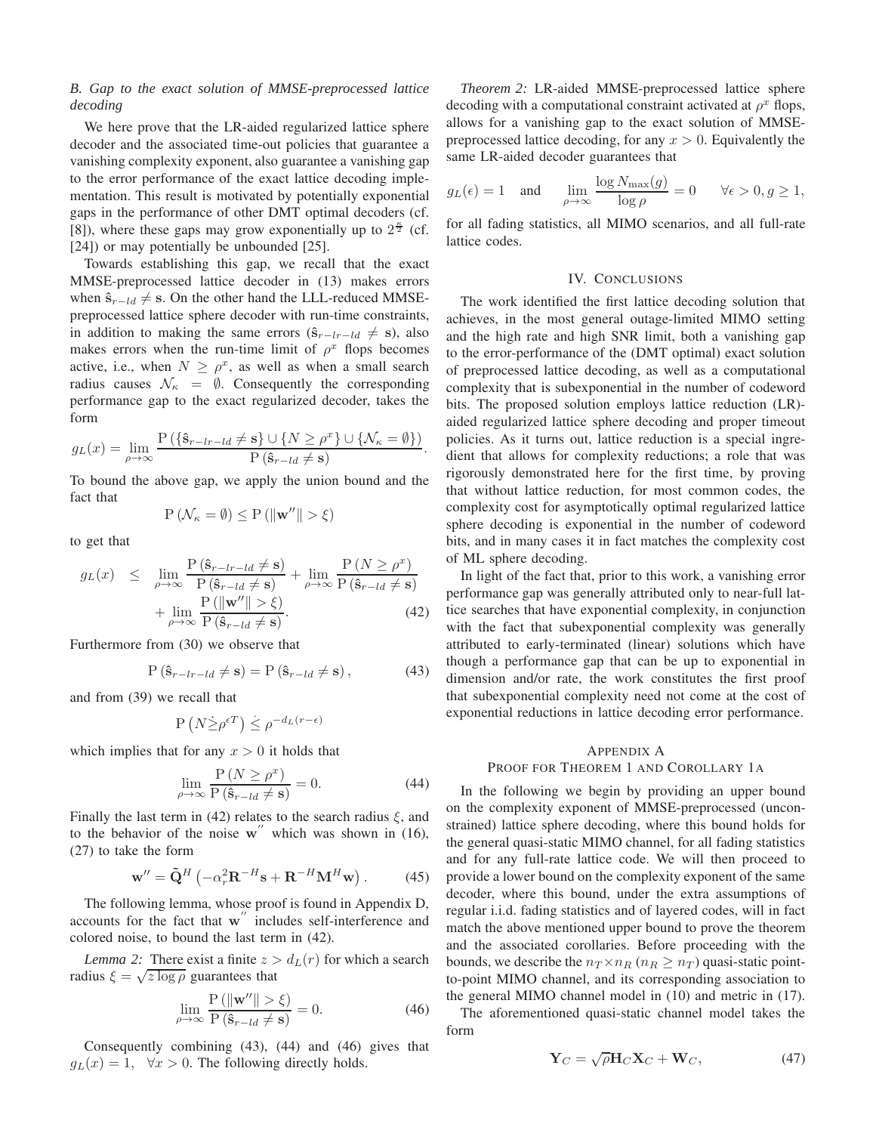## *B. Gap to the exact solution of MMSE-preprocessed lattice decoding*

We here prove that the LR-aided regularized lattice sphere decoder and the associated time-out policies that guarantee a vanishing complexity exponent, also guarantee a vanishing gap to the error performance of the exact lattice decoding implementation. This result is motivated by potentially exponential gaps in the performance of other DMT optimal decoders (cf. [8]), where these gaps may grow exponentially up to  $2^{\frac{\kappa}{2}}$  (cf. [24]) or may potentially be unbounded [25].

Towards establishing this gap, we recall that the exact MMSE-preprocessed lattice decoder in (13) makes errors when  $\hat{\mathbf{s}}_{r-ld} \neq \mathbf{s}$ . On the other hand the LLL-reduced MMSEpreprocessed lattice sphere decoder with run-time constraints, in addition to making the same errors  $(\hat{\mathbf{s}}_{r-lr-ld} \neq \mathbf{s})$ , also makes errors when the run-time limit of  $\rho^x$  flops becomes active, i.e., when  $N \geq \rho^x$ , as well as when a small search radius causes  $\mathcal{N}_{\kappa} = \emptyset$ . Consequently the corresponding performance gap to the exact regularized decoder, takes the form

$$
g_L(x) = \lim_{\rho \to \infty} \frac{P(\{\hat{\mathbf{s}}_{r-lr-ld} \neq \mathbf{s}\} \cup \{N \geq \rho^x\} \cup \{\mathcal{N}_{\kappa} = \emptyset\})}{P(\hat{\mathbf{s}}_{r-ld} \neq \mathbf{s})}.
$$

To bound the above gap, we apply the union bound and the fact that

$$
\mathrm{P}\left(\mathcal{N}_{\kappa}=\emptyset\right)\leq\mathrm{P}\left(\left\Vert \mathbf{w}''\right\Vert >\xi\right)
$$

to get that

$$
g_L(x) \leq \lim_{\rho \to \infty} \frac{P(\hat{\mathbf{s}}_{r-lr-ld} \neq \mathbf{s})}{P(\hat{\mathbf{s}}_{r-ld} \neq \mathbf{s})} + \lim_{\rho \to \infty} \frac{P(N \geq \rho^x)}{P(\hat{\mathbf{s}}_{r-ld} \neq \mathbf{s})} + \lim_{\rho \to \infty} \frac{P(||\mathbf{w}''|| > \xi)}{P(\hat{\mathbf{s}}_{r-ld} \neq \mathbf{s})}.
$$
\n(42)

Furthermore from (30) we observe that

$$
P(\hat{\mathbf{s}}_{r-lr-ld} \neq \mathbf{s}) = P(\hat{\mathbf{s}}_{r-ld} \neq \mathbf{s}), \qquad (43)
$$

and from (39) we recall that

$$
P\left(N \dot{\geq} \rho^{\epsilon T}\right) \leq \rho^{-d_L(r-\epsilon)}
$$

which implies that for any  $x > 0$  it holds that

$$
\lim_{\rho \to \infty} \frac{\mathcal{P}\left(N \ge \rho^x\right)}{\mathcal{P}\left(\hat{\mathbf{s}}_{r-ld} \neq \mathbf{s}\right)} = 0. \tag{44}
$$

Finally the last term in (42) relates to the search radius  $\xi$ , and to the behavior of the noise  $w''$  which was shown in (16), (27) to take the form

$$
\mathbf{w}'' = \tilde{\mathbf{Q}}^H \left( -\alpha_r^2 \mathbf{R}^{-H} \mathbf{s} + \mathbf{R}^{-H} \mathbf{M}^H \mathbf{w} \right). \tag{45}
$$

The following lemma, whose proof is found in Appendix D, accounts for the fact that w<sup>"</sup> includes self-interference and colored noise, to bound the last term in (42).

*Lemma 2:* There exist a finite  $z > d<sub>L</sub>(r)$  for which a search radius  $\xi = \sqrt{z \log \rho}$  guarantees that

$$
\lim_{\rho \to \infty} \frac{\mathcal{P}\left(\|\mathbf{w}''\| > \xi\right)}{\mathcal{P}\left(\hat{\mathbf{s}}_{r-ld} \neq \mathbf{s}\right)} = 0. \tag{46}
$$

Consequently combining (43), (44) and (46) gives that  $g_L(x) = 1$ ,  $\forall x > 0$ . The following directly holds.

*Theorem 2:* LR-aided MMSE-preprocessed lattice sphere decoding with a computational constraint activated at  $\rho^x$  flops, allows for a vanishing gap to the exact solution of MMSEpreprocessed lattice decoding, for any  $x > 0$ . Equivalently the same LR-aided decoder guarantees that

$$
g_L(\epsilon) = 1
$$
 and  $\lim_{\rho \to \infty} \frac{\log N_{\max}(g)}{\log \rho} = 0$   $\forall \epsilon > 0, g \ge 1$ ,

for all fading statistics, all MIMO scenarios, and all full-rate lattice codes.

#### IV. CONCLUSIONS

The work identified the first lattice decoding solution that achieves, in the most general outage-limited MIMO setting and the high rate and high SNR limit, both a vanishing gap to the error-performance of the (DMT optimal) exact solution of preprocessed lattice decoding, as well as a computational complexity that is subexponential in the number of codeword bits. The proposed solution employs lattice reduction (LR) aided regularized lattice sphere decoding and proper timeout policies. As it turns out, lattice reduction is a special ingredient that allows for complexity reductions; a role that was rigorously demonstrated here for the first time, by proving that without lattice reduction, for most common codes, the complexity cost for asymptotically optimal regularized lattice sphere decoding is exponential in the number of codeword bits, and in many cases it in fact matches the complexity cost of ML sphere decoding.

In light of the fact that, prior to this work, a vanishing error performance gap was generally attributed only to near-full lattice searches that have exponential complexity, in conjunction with the fact that subexponential complexity was generally attributed to early-terminated (linear) solutions which have though a performance gap that can be up to exponential in dimension and/or rate, the work constitutes the first proof that subexponential complexity need not come at the cost of exponential reductions in lattice decoding error performance.

#### APPENDIX A

## PROOF FOR THEOREM 1 AND COROLLARY 1A

In the following we begin by providing an upper bound on the complexity exponent of MMSE-preprocessed (unconstrained) lattice sphere decoding, where this bound holds for the general quasi-static MIMO channel, for all fading statistics and for any full-rate lattice code. We will then proceed to provide a lower bound on the complexity exponent of the same decoder, where this bound, under the extra assumptions of regular i.i.d. fading statistics and of layered codes, will in fact match the above mentioned upper bound to prove the theorem and the associated corollaries. Before proceeding with the bounds, we describe the  $n_T \times n_R$  ( $n_R > n_T$ ) quasi-static pointto-point MIMO channel, and its corresponding association to the general MIMO channel model in (10) and metric in (17).

The aforementioned quasi-static channel model takes the form

$$
\mathbf{Y}_C = \sqrt{\rho} \mathbf{H}_C \mathbf{X}_C + \mathbf{W}_C, \tag{47}
$$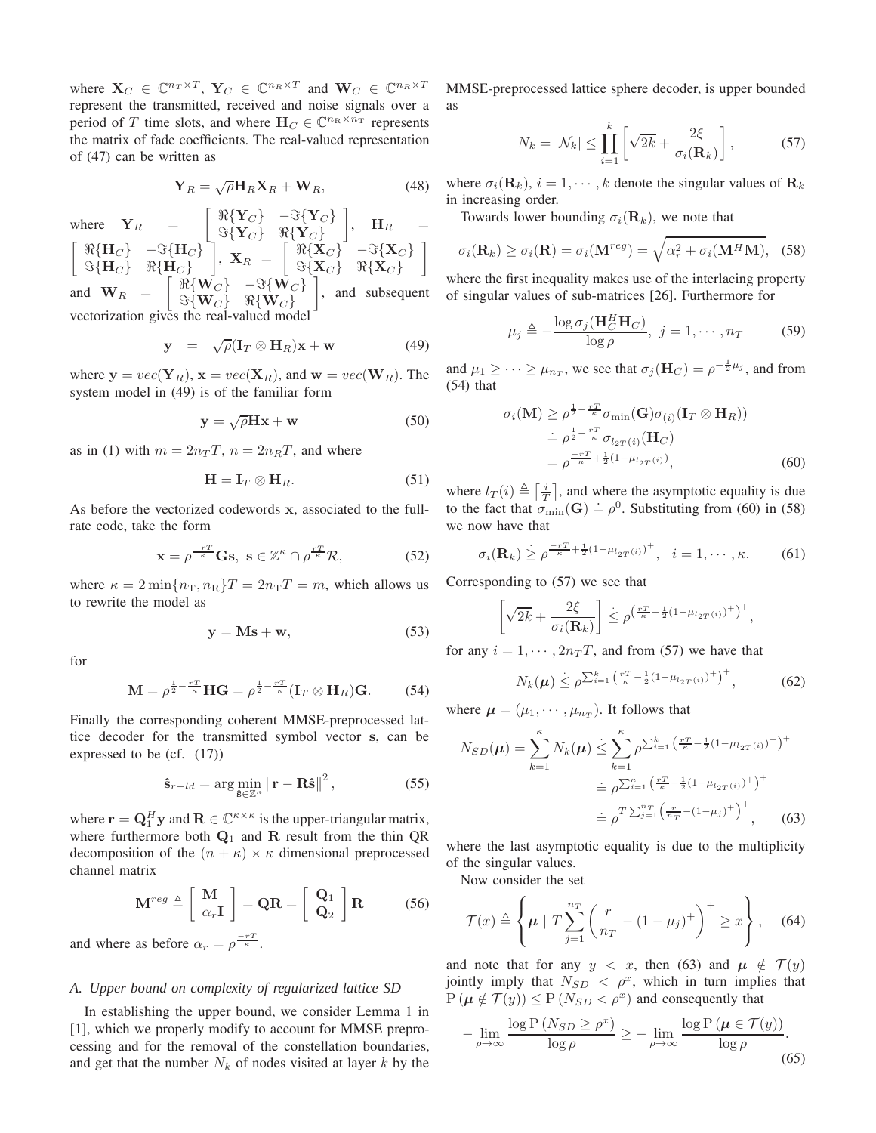where  $\mathbf{X}_C \in \mathbb{C}^{n_T \times T}$ ,  $\mathbf{Y}_C \in \mathbb{C}^{n_R \times T}$  and  $\mathbf{W}_C \in \mathbb{C}^{n_R \times T}$ represent the transmitted, received and noise signals over a period of T time slots, and where  $H_C \in \mathbb{C}^{n_R \times n_T}$  represents the matrix of fade coefficients. The real-valued representation of (47) can be written as

$$
\mathbf{Y}_R = \sqrt{\rho} \mathbf{H}_R \mathbf{X}_R + \mathbf{W}_R, \tag{48}
$$

where  $Y_R = \begin{bmatrix} \Re{Y_C} & -\Im{Y_C} \\ \Im{Y_C} & \Re{Y_C} \end{bmatrix}$  $\Im{\{\mathbf{Y}_C\}}$   $\Re{\{\mathbf{Y}_C\}}$  $\Big\}, \quad \mathbf{H}_R \quad =$  $\begin{bmatrix} \Re\{\mathbf{H}_C\} & -\Im\{\mathbf{H}_C\} \end{bmatrix}$  $\Im\{\mathbf{H}_C\}$   $\Re\{\mathbf{H}_C\}$  $\left[ \begin{array}{c} \Re\{{\bf X}_C\} \ \Im\{{\bf X}_C\} \end{array} \right] = \begin{bmatrix} \Re\{{\bf X}_C\} \ \Im\{{\bf X}_C\} \end{bmatrix}$  $\Im{\{\mathbf{X}_C\}}$   $\Re{\{\mathbf{X}_C\}}$ 1 and  $\mathbf{W}_R = \begin{bmatrix} \Re\{\mathbf{W}_C\} & -\Im\{\mathbf{W}_C\} \\ \Im\{\mathbf{W}_C\} & \Re\{\mathbf{W}_C\} \end{bmatrix}$  $\Im\{\mathbf{W}_C\}$   $\Re\{\mathbf{W}_C\}$  $\Big]$ , and subsequent vectorization gives the real-valued model

$$
\mathbf{y} = \sqrt{\rho} (\mathbf{I}_T \otimes \mathbf{H}_R) \mathbf{x} + \mathbf{w} \tag{49}
$$

where  $y = vec(Y_R)$ ,  $x = vec(X_R)$ , and  $w = vec(W_R)$ . The system model in (49) is of the familiar form

$$
y = \sqrt{\rho}Hx + w \tag{50}
$$

as in (1) with  $m = 2n_T T$ ,  $n = 2n_B T$ , and where

$$
\mathbf{H} = \mathbf{I}_T \otimes \mathbf{H}_R. \tag{51}
$$

As before the vectorized codewords x, associated to the fullrate code, take the form

$$
\mathbf{x} = \rho^{\frac{-rT}{\kappa}} \mathbf{G} \mathbf{s}, \ \mathbf{s} \in \mathbb{Z}^{\kappa} \cap \rho^{\frac{rT}{\kappa}} \mathcal{R}, \tag{52}
$$

where  $\kappa = 2 \min\{n_{\rm T}, n_{\rm R}\}T = 2n_{\rm T}T = m$ , which allows us to rewrite the model as

$$
y = Ms + w,\t(53)
$$

for

$$
\mathbf{M} = \rho^{\frac{1}{2} - \frac{rT}{\kappa}} \mathbf{H} \mathbf{G} = \rho^{\frac{1}{2} - \frac{rT}{\kappa}} (\mathbf{I}_T \otimes \mathbf{H}_R) \mathbf{G}.
$$
 (54)

Finally the corresponding coherent MMSE-preprocessed lattice decoder for the transmitted symbol vector s, can be expressed to be (cf. (17))

$$
\hat{\mathbf{s}}_{r-ld} = \arg\min_{\hat{\mathbf{s}} \in \mathbb{Z}^{\kappa}} \left\| \mathbf{r} - \mathbf{R}\hat{\mathbf{s}} \right\|^2, \tag{55}
$$

where  $\mathbf{r} = \mathbf{Q}_1^H \mathbf{y}$  and  $\mathbf{R} \in \mathbb{C}^{\kappa \times \kappa}$  is the upper-triangular matrix, where furthermore both  $Q_1$  and R result from the thin QR decomposition of the  $(n + \kappa) \times \kappa$  dimensional preprocessed channel matrix

$$
\mathbf{M}^{reg} \triangleq \left[ \begin{array}{c} \mathbf{M} \\ \alpha_r \mathbf{I} \end{array} \right] = \mathbf{Q} \mathbf{R} = \left[ \begin{array}{c} \mathbf{Q}_1 \\ \mathbf{Q}_2 \end{array} \right] \mathbf{R} \tag{56}
$$

and where as before  $\alpha_r = \rho^{\frac{-rT}{\kappa}}$ .

#### *A. Upper bound on complexity of regularized lattice SD*

In establishing the upper bound, we consider Lemma 1 in [1], which we properly modify to account for MMSE preprocessing and for the removal of the constellation boundaries, and get that the number  $N_k$  of nodes visited at layer k by the MMSE-preprocessed lattice sphere decoder, is upper bounded as

$$
N_k = |\mathcal{N}_k| \le \prod_{i=1}^k \left[ \sqrt{2k} + \frac{2\xi}{\sigma_i(\mathbf{R}_k)} \right],\tag{57}
$$

where  $\sigma_i(\mathbf{R}_k)$ ,  $i = 1, \dots, k$  denote the singular values of  $\mathbf{R}_k$ in increasing order.

Towards lower bounding  $\sigma_i(\mathbf{R}_k)$ , we note that

$$
\sigma_i(\mathbf{R}_k) \ge \sigma_i(\mathbf{R}) = \sigma_i(\mathbf{M}^{reg}) = \sqrt{\alpha_r^2 + \sigma_i(\mathbf{M}^H \mathbf{M})}, \quad (58)
$$

where the first inequality makes use of the interlacing property of singular values of sub-matrices [26]. Furthermore for

$$
\mu_j \triangleq -\frac{\log \sigma_j(\mathbf{H}_C^H \mathbf{H}_C)}{\log \rho}, \ j = 1, \cdots, n_T \tag{59}
$$

and  $\mu_1 \geq \cdots \geq \mu_{n_T}$ , we see that  $\sigma_j(\mathbf{H}_C) = \rho^{-\frac{1}{2}\mu_j}$ , and from  $(54)$  that

$$
\sigma_i(\mathbf{M}) \ge \rho^{\frac{1}{2} - \frac{rT}{\kappa}} \sigma_{\min}(\mathbf{G}) \sigma_{(i)}(\mathbf{I}_T \otimes \mathbf{H}_R))
$$
  
\n
$$
\stackrel{\doteq}{=} \rho^{\frac{1}{2} - \frac{rT}{\kappa}} \sigma_{l_{2T}(i)}(\mathbf{H}_C)
$$
  
\n
$$
= \rho^{\frac{-rT}{\kappa} + \frac{1}{2}(1 - \mu_{l_{2T}(i)})},
$$
\n(60)

where  $l_T(i) \triangleq \left\lceil \frac{i}{T} \right\rceil$ , and where the asymptotic equality is due to the fact that  $\sigma_{\min}(\mathbf{G}) = \rho^0$ . Substituting from (60) in (58) we now have that

$$
\sigma_i(\mathbf{R}_k) \ge \rho^{\frac{-rT}{\kappa} + \frac{1}{2}(1 - \mu_{l_{2T}(i)})^+}, \quad i = 1, \cdots, \kappa.
$$
 (61)

Corresponding to (57) we see that

$$
\left[\sqrt{2k} + \frac{2\xi}{\sigma_i(\mathbf{R}_k)}\right] \leq \rho^{\left(\frac{rT}{\kappa} - \frac{1}{2}(1 - \mu_{l_{2T}(i)})^+\right)^+},
$$

for any  $i = 1, \dots, 2n_T T$ , and from (57) we have that

$$
N_k(\boldsymbol{\mu}) \le \rho^{\sum_{i=1}^k \left(\frac{rT}{\kappa} - \frac{1}{2} (1 - \mu_{l_{2T}(i)})^+\right)^+},\tag{62}
$$

where  $\boldsymbol{\mu} = (\mu_1, \cdots, \mu_{n_T})$ . It follows that

$$
N_{SD}(\mu) = \sum_{k=1}^{\kappa} N_k(\mu) \le \sum_{k=1}^{\kappa} \rho^{\sum_{i=1}^{k} \left(\frac{rT}{\kappa} - \frac{1}{2}(1 - \mu_{l_{2T}(i)})^+\right)^+}
$$
  
\n
$$
\stackrel{.}{=} \rho^{\sum_{i=1}^{\kappa} \left(\frac{rT}{\kappa} - \frac{1}{2}(1 - \mu_{l_{2T}(i)})^+\right)^+}
$$
  
\n
$$
\stackrel{.}{=} \rho^T \sum_{j=1}^{n} \left(\frac{r}{nT} - (1 - \mu_j)^+\right)^+, \quad (63)
$$

where the last asymptotic equality is due to the multiplicity of the singular values.

Now consider the set

$$
\mathcal{T}(x) \triangleq \left\{ \mu \mid T \sum_{j=1}^{n_T} \left( \frac{r}{n_T} - (1 - \mu_j)^+ \right)^+ \geq x \right\}, \quad (64)
$$

and note that for any  $y < x$ , then (63) and  $\mu \notin \mathcal{T}(y)$ jointly imply that  $N_{SD} < \rho^x$ , which in turn implies that  $P(\mu \notin \mathcal{T}(y)) \leq P(N_{SD} < \rho^x)$  and consequently that

$$
-\lim_{\rho \to \infty} \frac{\log P\left(N_{SD} \ge \rho^x\right)}{\log \rho} \ge -\lim_{\rho \to \infty} \frac{\log P\left(\mu \in \mathcal{T}(y)\right)}{\log \rho}.\tag{65}
$$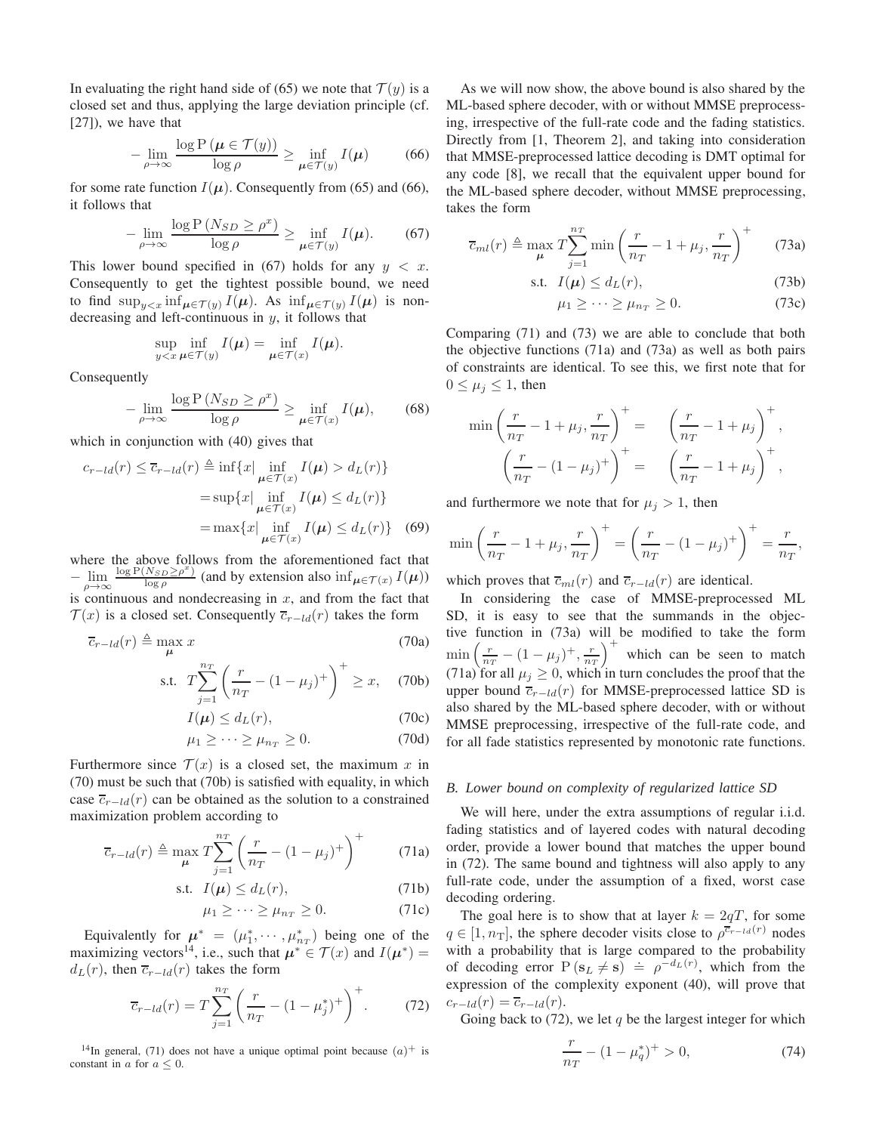In evaluating the right hand side of (65) we note that  $\mathcal{T}(y)$  is a closed set and thus, applying the large deviation principle (cf. [27]), we have that

$$
-\lim_{\rho \to \infty} \frac{\log P\left(\boldsymbol{\mu} \in \mathcal{T}(y)\right)}{\log \rho} \ge \inf_{\boldsymbol{\mu} \in \mathcal{T}(y)} I(\boldsymbol{\mu}) \tag{66}
$$

for some rate function  $I(\mu)$ . Consequently from (65) and (66), it follows that

$$
-\lim_{\rho \to \infty} \frac{\log P\left(N_{SD} \ge \rho^x\right)}{\log \rho} \ge \inf_{\mu \in \mathcal{T}(y)} I(\mu). \tag{67}
$$

This lower bound specified in (67) holds for any  $y < x$ . Consequently to get the tightest possible bound, we need to find  $\sup_{y\leq x} \inf_{\mu \in \mathcal{T}(y)} I(\mu)$ . As  $\inf_{\mu \in \mathcal{T}(y)} I(\mu)$  is nondecreasing and left-continuous in  $y$ , it follows that

$$
\sup_{y
$$

Consequently

$$
-\lim_{\rho \to \infty} \frac{\log P\left(N_{SD} \ge \rho^x\right)}{\log \rho} \ge \inf_{\mu \in \mathcal{T}(x)} I(\mu),\qquad(68)
$$

which in conjunction with  $(40)$  gives that

$$
c_{r-ld}(r) \leq \overline{c}_{r-ld}(r) \triangleq \inf\{x|\inf_{\mu \in \mathcal{T}(x)} I(\mu) > d_L(r)\}
$$

$$
= \sup\{x|\inf_{\mu \in \mathcal{T}(x)} I(\mu) \leq d_L(r)\}
$$

$$
= \max\{x|\inf_{\mu \in \mathcal{T}(x)} I(\mu) \leq d_L(r)\} \quad (69)
$$

where the above follows from the aforementioned fact that  $-\lim_{\rho \to \infty}$  $\log P(N_{SD} \geq \rho^x)$  $\frac{NSD\angle\rho}{\log\rho}$  (and by extension also  $\inf_{\mu \in \mathcal{T}(x)} I(\mu)$ ) is continuous and nondecreasing in  $x$ , and from the fact that  $\mathcal{T}(x)$  is a closed set. Consequently  $\overline{c}_{r-ld}(r)$  takes the form

$$
\overline{c}_{r-ld}(r) \triangleq \max_{\mu} x \tag{70a}
$$

s.t. 
$$
T\sum_{j=1}^{n_T} \left(\frac{r}{n_T} - (1 - \mu_j)^+\right)^+ \ge x, \quad (70b)
$$

$$
I(\boldsymbol{\mu}) \le d_L(r),\tag{70c}
$$

$$
\mu_1 \ge \cdots \ge \mu_{n_T} \ge 0. \tag{70d}
$$

Furthermore since  $\mathcal{T}(x)$  is a closed set, the maximum x in (70) must be such that (70b) is satisfied with equality, in which case  $\overline{c}_{r-ld}(r)$  can be obtained as the solution to a constrained maximization problem according to

$$
\overline{c}_{r-ld}(r) \triangleq \max_{\mu} T \sum_{j=1}^{n_T} \left( \frac{r}{n_T} - (1 - \mu_j)^+ \right)^+ \tag{71a}
$$

$$
\text{s.t. } I(\boldsymbol{\mu}) \le d_L(r), \tag{71b}
$$

$$
\mu_1 \ge \cdots \ge \mu_{n_T} \ge 0. \tag{71c}
$$

Equivalently for  $\mu^* = (\mu_1^*, \cdots, \mu_{n_T}^*)$  being one of the maximizing vectors<sup>14</sup>, i.e., such that  $\mu^* \in \mathcal{T}(x)$  and  $I(\mu^*) =$  $d<sub>L</sub>(r)$ , then  $\overline{c}_{r-ld}(r)$  takes the form

$$
\overline{c}_{r-ld}(r) = T \sum_{j=1}^{n_T} \left( \frac{r}{n_T} - (1 - \mu_j^*)^+ \right)^+.
$$
 (72)

<sup>14</sup>In general, (71) does not have a unique optimal point because  $(a)^+$  is constant in a for  $a \leq 0$ .

As we will now show, the above bound is also shared by the ML-based sphere decoder, with or without MMSE preprocessing, irrespective of the full-rate code and the fading statistics. Directly from [1, Theorem 2], and taking into consideration that MMSE-preprocessed lattice decoding is DMT optimal for any code [8], we recall that the equivalent upper bound for the ML-based sphere decoder, without MMSE preprocessing, takes the form

$$
\overline{c}_{ml}(r) \triangleq \max_{\mu} T \sum_{j=1}^{n_T} \min \left( \frac{r}{n_T} - 1 + \mu_j, \frac{r}{n_T} \right)^{+} \tag{73a}
$$

$$
\text{s.t. } I(\boldsymbol{\mu}) \le d_L(r), \tag{73b}
$$

$$
\mu_1 \ge \cdots \ge \mu_{n_T} \ge 0. \tag{73c}
$$

Comparing (71) and (73) we are able to conclude that both the objective functions (71a) and (73a) as well as both pairs of constraints are identical. To see this, we first note that for  $0 \leq \mu_j \leq 1$ , then

$$
\min\left(\frac{r}{n_T} - 1 + \mu_j, \frac{r}{n_T}\right)^+ = \left(\frac{r}{n_T} - 1 + \mu_j\right)^+, \left(\frac{r}{n_T} - (1 - \mu_j)^+\right)^+ = \left(\frac{r}{n_T} - 1 + \mu_j\right)^+,
$$

and furthermore we note that for  $\mu_j > 1$ , then

$$
\min\left(\frac{r}{n_T} - 1 + \mu_j, \frac{r}{n_T}\right)^+ = \left(\frac{r}{n_T} - (1 - \mu_j)^+\right)^+ = \frac{r}{n_T},
$$

which proves that  $\overline{c}_{ml}(r)$  and  $\overline{c}_{r-ld}(r)$  are identical.

In considering the case of MMSE-preprocessed ML SD, it is easy to see that the summands in the objective function in (73a) will be modified to take the form  $\min \left( \frac{r}{n_T} - (1 - \mu_j)^+ , \frac{r}{n_T} \right)^+$  which can be seen to match (71a) for all  $\mu_j \geq 0$ , which in turn concludes the proof that the upper bound  $\overline{c}_{r-ld}(r)$  for MMSE-preprocessed lattice SD is also shared by the ML-based sphere decoder, with or without MMSE preprocessing, irrespective of the full-rate code, and for all fade statistics represented by monotonic rate functions.

### *B. Lower bound on complexity of regularized lattice SD*

We will here, under the extra assumptions of regular i.i.d. fading statistics and of layered codes with natural decoding order, provide a lower bound that matches the upper bound in (72). The same bound and tightness will also apply to any full-rate code, under the assumption of a fixed, worst case decoding ordering.

The goal here is to show that at layer  $k = 2qT$ , for some  $q \in [1, n_T]$ , the sphere decoder visits close to  $\rho^{\overline{c}_{r-ld}(r)}$  nodes with a probability that is large compared to the probability of decoding error  $P(s_L \neq s) \doteq \rho^{-d_L(r)}$ , which from the expression of the complexity exponent (40), will prove that  $c_{r-ld}(r) = \overline{c}_{r-ld}(r).$ 

Going back to (72), we let q be the largest integer for which

$$
\frac{r}{n_T} - (1 - \mu_q^*)^+ > 0,\t(74)
$$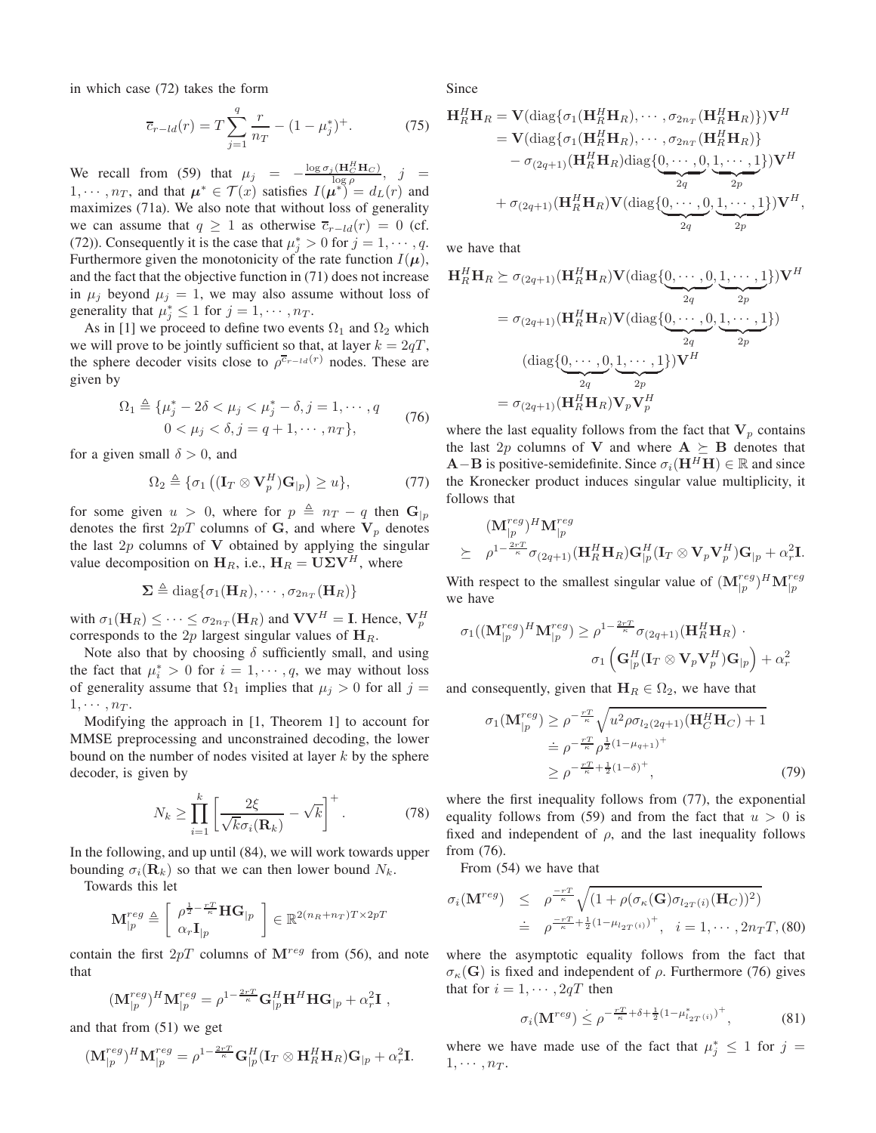in which case (72) takes the form

$$
\overline{c}_{r-ld}(r) = T \sum_{j=1}^{q} \frac{r}{n_T} - (1 - \mu_j^*)^+.
$$
 (75)

We recall from (59) that  $\mu_j = -\frac{\log \sigma_j(H_G^H H_C)}{\log \rho}$ ,  $j =$  $1, \dots, n_T$ , and that  $\mu^* \in \mathcal{T}(x)$  satisfies  $I(\mu^*)' = d_L(r)$  and maximizes (71a). We also note that without loss of generality we can assume that  $q \ge 1$  as otherwise  $\overline{c}_{r-ld}(r) = 0$  (cf. (72)). Consequently it is the case that  $\mu_j^* > 0$  for  $j = 1, \dots, q$ . Furthermore given the monotonicity of the rate function  $I(\mu)$ , and the fact that the objective function in (71) does not increase in  $\mu_i$  beyond  $\mu_i = 1$ , we may also assume without loss of generality that  $\mu_j^* \leq 1$  for  $j = 1, \dots, n_T$ .

As in [1] we proceed to define two events  $\Omega_1$  and  $\Omega_2$  which we will prove to be jointly sufficient so that, at layer  $k = 2qT$ , the sphere decoder visits close to  $\rho^{\overline{c}_{r-ld}(r)}$  nodes. These are given by

$$
\Omega_1 \triangleq \{ \mu_j^* - 2\delta < \mu_j < \mu_j^* - \delta, j = 1, \cdots, q \quad (76) \\ 0 < \mu_j < \delta, j = q + 1, \cdots, n \},
$$

for a given small  $\delta > 0$ , and

$$
\Omega_2 \triangleq \{ \sigma_1 \left( (\mathbf{I}_T \otimes \mathbf{V}_p^H) \mathbf{G}_{|p} \right) \ge u \},\tag{77}
$$

for some given  $u > 0$ , where for  $p \triangleq n_T - q$  then  $\mathbf{G}_{|p}$ denotes the first  $2pT$  columns of G, and where  $V_p$  denotes the last  $2p$  columns of V obtained by applying the singular value decomposition on  $H_R$ , i.e.,  $H_R = U\Sigma V^H$ , where

$$
\Sigma \triangleq \text{diag}\{\sigma_1(\mathbf{H}_R), \cdots, \sigma_{2n_T}(\mathbf{H}_R)\}\
$$

with  $\sigma_1(\mathbf{H}_R) \leq \cdots \leq \sigma_{2n_T}(\mathbf{H}_R)$  and  $\mathbf{V}\mathbf{V}^H = \mathbf{I}$ . Hence,  $\mathbf{V}_p^H$ corresponds to the 2p largest singular values of  $H_R$ .

Note also that by choosing  $\delta$  sufficiently small, and using the fact that  $\mu_i^* > 0$  for  $i = 1, \dots, q$ , we may without loss of generality assume that  $\Omega_1$  implies that  $\mu_j > 0$  for all  $j =$  $1, \cdots, n_T$ .

Modifying the approach in [1, Theorem 1] to account for MMSE preprocessing and unconstrained decoding, the lower bound on the number of nodes visited at layer  $k$  by the sphere decoder, is given by

$$
N_k \ge \prod_{i=1}^k \left[ \frac{2\xi}{\sqrt{k}\sigma_i(\mathbf{R}_k)} - \sqrt{k} \right]^+.
$$
 (78)

In the following, and up until (84), we will work towards upper bounding  $\sigma_i(\mathbf{R}_k)$  so that we can then lower bound  $N_k$ .

Towards this let

$$
\mathbf{M}_{|p}^{reg} \triangleq \left[ \begin{array}{c} \rho^{\frac{1}{2} - \frac{rT}{\kappa}} \mathbf{H} \mathbf{G}_{|p} \\ \alpha_r \mathbf{I}_{|p} \end{array} \right] \in \mathbb{R}^{2(n_R + n_T)T \times 2p}
$$

contain the first  $2pT$  columns of  $\mathbf{M}^{reg}$  from (56), and note that

$$
(\mathbf{M}_{|p}^{reg})^H \mathbf{M}_{|p}^{reg} = \rho^{1-\frac{2rT}{\kappa}} \mathbf{G}_{|p}^H \mathbf{H}^H \mathbf{H} \mathbf{G}_{|p} + \alpha_r^2 \mathbf{I} ,
$$

and that from (51) we get

$$
(\mathbf{M}_{|p}^{reg})^{H} \mathbf{M}_{|p}^{reg} = \rho^{1-\frac{2rT}{\kappa}} \mathbf{G}_{|p}^{H} (\mathbf{I}_{T} \otimes \mathbf{H}_{R}^{H} \mathbf{H}_{R}) \mathbf{G}_{|p} + \alpha_{r}^{2} \mathbf{I}.
$$

Since

$$
\mathbf{H}_{R}^{H}\mathbf{H}_{R} = \mathbf{V}(\text{diag}\{\sigma_{1}(\mathbf{H}_{R}^{H}\mathbf{H}_{R}),\cdots,\sigma_{2n_{T}}(\mathbf{H}_{R}^{H}\mathbf{H}_{R})\})\mathbf{V}^{H}
$$
\n
$$
= \mathbf{V}(\text{diag}\{\sigma_{1}(\mathbf{H}_{R}^{H}\mathbf{H}_{R}),\cdots,\sigma_{2n_{T}}(\mathbf{H}_{R}^{H}\mathbf{H}_{R})\}
$$
\n
$$
-\sigma_{(2q+1)}(\mathbf{H}_{R}^{H}\mathbf{H}_{R})\text{diag}\{\underbrace{0,\cdots,0}_{2q},\underbrace{1,\cdots,1}_{2q}\})\mathbf{V}^{H}
$$
\n
$$
+\sigma_{(2q+1)}(\mathbf{H}_{R}^{H}\mathbf{H}_{R})\mathbf{V}(\text{diag}\{\underbrace{0,\cdots,0}_{2q},\underbrace{1,\cdots,1}_{2q})\}\mathbf{V}^{H},
$$

we have that

$$
\mathbf{H}_{R}^{H}\mathbf{H}_{R} \succeq \sigma_{(2q+1)}(\mathbf{H}_{R}^{H}\mathbf{H}_{R})\mathbf{V}(\text{diag}\{\underbrace{0,\cdots,0}_{2q},\underbrace{1,\cdots,1}_{2p}\})\mathbf{V}^{H}
$$
\n
$$
= \sigma_{(2q+1)}(\mathbf{H}_{R}^{H}\mathbf{H}_{R})\mathbf{V}(\text{diag}\{\underbrace{0,\cdots,0}_{2q},\underbrace{1,\cdots,1}_{2p}\})
$$
\n
$$
(\text{diag}\{\underbrace{0,\cdots,0}_{2q},\underbrace{1,\cdots,1}_{2p}\})\mathbf{V}^{H}
$$
\n
$$
= \sigma_{(2q+1)}(\mathbf{H}_{R}^{H}\mathbf{H}_{R})\mathbf{V}_{p}\mathbf{V}_{p}^{H}
$$

where the last equality follows from the fact that  $V_p$  contains the last 2p columns of V and where  $A \succeq B$  denotes that  $\mathbf{A}-\mathbf{B}$  is positive-semidefinite. Since  $\sigma_i(\mathbf{H}^H\mathbf{H}) \in \mathbb{R}$  and since the Kronecker product induces singular value multiplicity, it follows that

$$
\begin{array}{cl}\n&(\mathbf{M}_{|p}^{reg})^{H}\mathbf{M}_{|p}^{reg} \\
\succeq& \rho^{1-\frac{2rT}{\kappa}}\sigma_{(2q+1)}(\mathbf{H}_{R}^{H}\mathbf{H}_{R})\mathbf{G}_{|p}^{H}(\mathbf{I}_{T}\otimes\mathbf{V}_{p}\mathbf{V}_{p}^{H})\mathbf{G}_{|p}+\alpha_{r}^{2}\mathbf{I}.\n\end{array}
$$

With respect to the smallest singular value of  $(M_{p}^{reg})^H M_{p}^{reg}$ we have

$$
\sigma_1((\mathbf{M}_{|p}^{reg})^H \mathbf{M}_{|p}^{reg}) \geq \rho^{1-\frac{2rT}{\kappa}} \sigma_{(2q+1)}(\mathbf{H}_R^H \mathbf{H}_R) \cdot \sigma_1\left(\mathbf{G}_{|p}^H (\mathbf{I}_T \otimes \mathbf{V}_p \mathbf{V}_p^H) \mathbf{G}_{|p}\right) + \alpha_r^2
$$

and consequently, given that  $H_R \in \Omega_2$ , we have that

$$
\sigma_1(\mathbf{M}_{|p}^{reg}) \ge \rho^{-\frac{rT}{\kappa}} \sqrt{u^2 \rho \sigma_{l_2(2q+1)}(\mathbf{H}_C^H \mathbf{H}_C) + 1}
$$
  
\n
$$
\stackrel{\doteq}{=} \rho^{-\frac{rT}{\kappa}} \rho^{\frac{1}{2}(1 - \mu_{q+1})^+}
$$
  
\n
$$
\ge \rho^{-\frac{rT}{\kappa} + \frac{1}{2}(1 - \delta)^+},
$$
\n(79)

where the first inequality follows from  $(77)$ , the exponential equality follows from (59) and from the fact that  $u > 0$  is fixed and independent of  $\rho$ , and the last inequality follows from (76).

From (54) we have that

$$
\sigma_i(\mathbf{M}^{reg}) \leq \rho^{\frac{-rT}{\kappa}} \sqrt{(1 + \rho(\sigma_{\kappa}(\mathbf{G})\sigma_{l_{2T}(i)}(\mathbf{H}_C))^2)}
$$
  
 
$$
\doteq \rho^{\frac{-rT}{\kappa} + \frac{1}{2}(1 - \mu_{l_{2T}(i)})^+, \quad i = 1, \cdots, 2n_TT, (80)
$$

where the asymptotic equality follows from the fact that  $\sigma_{\kappa}(\mathbf{G})$  is fixed and independent of  $\rho$ . Furthermore (76) gives that for  $i = 1, \dots, 2qT$  then

$$
\sigma_i(\mathbf{M}^{reg}) \leq \rho^{-\frac{rT}{\kappa} + \delta + \frac{1}{2}(1 - \mu_{l_{2T}(i)}^*)^+},\tag{81}
$$

where we have made use of the fact that  $\mu_j^* \leq 1$  for  $j =$  $1, \cdots, n_T$ .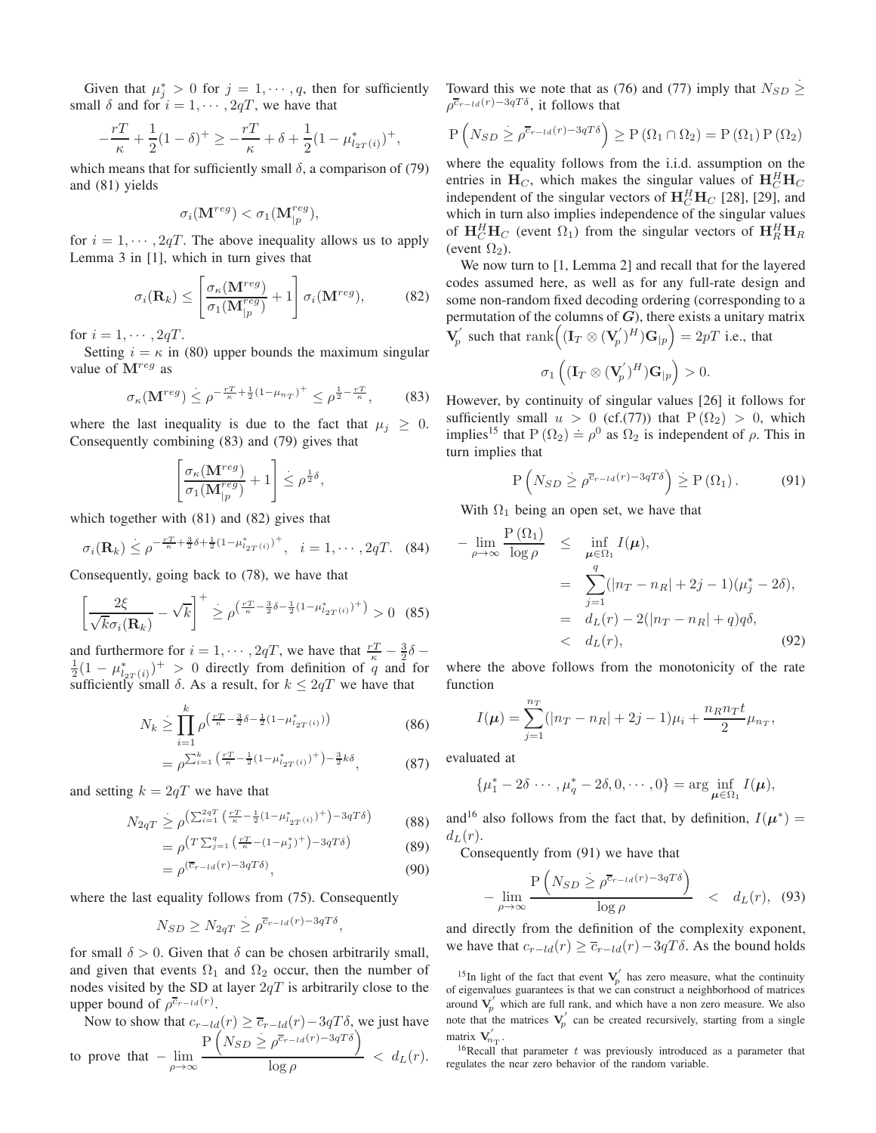Given that  $\mu_j^* > 0$  for  $j = 1, \dots, q$ , then for sufficiently small  $\delta$  and for  $i = 1, \dots, 2qT$ , we have that

$$
-\frac{rT}{\kappa} + \frac{1}{2}(1-\delta)^{+} \ge -\frac{rT}{\kappa} + \delta + \frac{1}{2}(1-\mu_{l_{2T}(i)}^{*})^{+},
$$

which means that for sufficiently small  $\delta$ , a comparison of (79) and (81) yields

$$
\sigma_i(\mathbf{M}^{reg}) < \sigma_1(\mathbf{M}^{reg}_{|p}),
$$

for  $i = 1, \dots, 2q$ . The above inequality allows us to apply Lemma 3 in [1], which in turn gives that

$$
\sigma_i(\mathbf{R}_k) \le \left[ \frac{\sigma_\kappa(\mathbf{M}^{reg})}{\sigma_1(\mathbf{M}_{|p}^{reg})} + 1 \right] \sigma_i(\mathbf{M}^{reg}), \tag{82}
$$

for  $i = 1, \cdots, 2qT$ .

Setting  $i = \kappa$  in (80) upper bounds the maximum singular value of  $\mathbf{M}^{reg}$  as

$$
\sigma_{\kappa}(\mathbf{M}^{reg}) \leq \rho^{-\frac{rT}{\kappa} + \frac{1}{2}(1 - \mu_{n_T})^+} \leq \rho^{\frac{1}{2} - \frac{rT}{\kappa}},\tag{83}
$$

,

where the last inequality is due to the fact that  $\mu_j \geq 0$ . Consequently combining (83) and (79) gives that

$$
\left[\frac{\sigma_\kappa(\mathbf{M}^{reg})}{\sigma_1(\mathbf{M}_{|p}^{reg})} + 1\right] \leq \rho^{\frac{1}{2}\delta}
$$

which together with (81) and (82) gives that

$$
\sigma_i(\mathbf{R}_k) \leq \rho^{-\frac{rT}{\kappa} + \frac{3}{2}\delta + \frac{1}{2}(1 - \mu_{i_{2T}(i)}^*)^+}, \quad i = 1, \cdots, 2qT. \tag{84}
$$

Consequently, going back to (78), we have that

$$
\left[\frac{2\xi}{\sqrt{k}\sigma_i(\mathbf{R}_k)} - \sqrt{k}\right]^+ \ge \rho^{\left(\frac{rT}{\kappa} - \frac{3}{2}\delta - \frac{1}{2}(1 - \mu_{t_{2T}(i)}^*)^+\right)} > 0 \quad (85)
$$

and furthermore for  $i = 1, \dots, 2qT$ , we have that  $\frac{rT}{\kappa} - \frac{3}{2}\delta - \frac{1}{2}(1 - \mu_{l_{2T}(i)}^*)^+ > 0$  directly from definition of q and for sufficiently small  $\delta$ . As a result, for  $k \leq 2qT$  we have that

$$
N_k \ge \prod_{i=1}^k \rho^{\left(\frac{rT}{\kappa} - \frac{3}{2}\delta - \frac{1}{2}(1 - \mu_{l_{2T}(i)}^*)\right)}\tag{86}
$$

$$
= \rho^{\sum_{i=1}^{k} \left(\frac{rT}{\kappa} - \frac{1}{2} (1 - \mu_{2T(i)}^*)^+\right) - \frac{3}{2} k\delta}, \tag{87}
$$

and setting  $k = 2qT$  we have that

$$
N_{2qT} \ge \rho^{\left(\sum_{i=1}^{2qT} \left(\frac{rT}{\kappa} - \frac{1}{2}(1 - \mu_{t_{2T}(i)}^*)^+\right) - 3qT\delta\right)}\tag{88}
$$

$$
= \rho^{\left(T\sum_{j=1}^{q} \left(\frac{r}{\kappa} - (1 - \mu_j^*)^+\right) - 3qT\delta\right)} \tag{89}
$$

$$
= \rho^{(\overline{c}_{r-ld}(r)-3qT\delta)}, \tag{90}
$$

where the last equality follows from (75). Consequently

$$
N_{SD} \ge N_{2qT} \ge \rho^{\overline{c}_{r-ld}(r)-3qT\delta},
$$

for small  $\delta > 0$ . Given that  $\delta$  can be chosen arbitrarily small, and given that events  $\Omega_1$  and  $\Omega_2$  occur, then the number of nodes visited by the SD at layer  $2qT$  is arbitrarily close to the upper bound of  $\rho^{\overline{c}_{r-ld}(r)}$ .

Now to show that  $c_{r-ld}(r) \geq \overline{c}_{r-ld}(r) - 3qT\delta$ , we just have to prove that  $-\lim_{\rho \to \infty}$  $P\left(N_{SD} \geq \rho^{\overline{c}_{r-ld}(r)-3qT\delta}\right)$  $\frac{1}{\log \rho}$  <  $d_L(r)$ .

Toward this we note that as (76) and (77) imply that  $N_{SD} \geq$ ≥  $\rho^{\overline{c}_{r-ld}(r)-3qT\delta}$ , it follows that

$$
P\left(N_{SD} \geq \rho^{\overline{c}_{r-ld}(r)-3qT\delta}\right) \geq P\left(\Omega_1 \cap \Omega_2\right) = P\left(\Omega_1\right) P\left(\Omega_2\right)
$$

where the equality follows from the i.i.d. assumption on the entries in  $H_C$ , which makes the singular values of  $H_C^H H_C$ independent of the singular vectors of  $\mathbf{H}_{C}^{H}\mathbf{H}_{C}$  [28], [29], and which in turn also implies independence of the singular values of  $\mathbf{H}_C^H \mathbf{H}_C$  (event  $\Omega_1$ ) from the singular vectors of  $\mathbf{H}_R^H \mathbf{H}_R$ (event  $\Omega_2$ ).

We now turn to [1, Lemma 2] and recall that for the layered codes assumed here, as well as for any full-rate design and some non-random fixed decoding ordering (corresponding to a permutation of the columns of  $G$ ), there exists a unitary matrix  $\mathbf{\tilde{V}}^{'}_n$  $g_p'$  such that  $\operatorname{rank}((\mathbf{I}_T\otimes (\mathbf{V}_p'))$  $(p')^H$ ) $\mathbf{G}_{|p}$  = 2pT i.e., that

$$
\sigma_1\left((\mathbf{I}_T \otimes (\mathbf{V}_p)^H)\mathbf{G}_{|p}\right) > 0.
$$

However, by continuity of singular values [26] it follows for sufficiently small  $u > 0$  (cf.(77)) that  $P(\Omega_2) > 0$ , which implies<sup>15</sup> that P ( $\Omega_2$ ) =  $\rho^0$  as  $\Omega_2$  is independent of  $\rho$ . This in turn implies that

$$
P\left(N_{SD} \ge \rho^{\overline{c}_{r-ld}(r)-3qT\delta}\right) \ge P\left(\Omega_1\right). \tag{91}
$$

With  $\Omega_1$  being an open set, we have that

$$
-\lim_{\rho \to \infty} \frac{P(\Omega_1)}{\log \rho} \leq \inf_{\mu \in \Omega_1} I(\mu),
$$
  
= 
$$
\sum_{j=1}^q (|n_T - n_R| + 2j - 1)(\mu_j^* - 2\delta),
$$
  
= 
$$
d_L(r) - 2(|n_T - n_R| + q)q\delta,
$$
  
< 
$$
< d_L(r),
$$
 (92)

where the above follows from the monotonicity of the rate function

$$
I(\mu) = \sum_{j=1}^{n_T} (|n_T - n_R| + 2j - 1)\mu_i + \frac{n_R n_T t}{2} \mu_{n_T},
$$

evaluated at

$$
\{\mu_1^* - 2\delta \cdots, \mu_q^* - 2\delta, 0, \cdots, 0\} = \arg\inf_{\mu \in \Omega_1} I(\mu),
$$

and<sup>16</sup> also follows from the fact that, by definition,  $I(\mu^*)$  =  $d_L(r)$ .

Consequently from (91) we have that

$$
-\lim_{\rho \to \infty} \frac{\mathcal{P}\left(N_{SD} \ge \rho^{\overline{c}_{r-ld}(r)-3qT\delta}\right)}{\log \rho} < d_L(r), \tag{93}
$$

and directly from the definition of the complexity exponent, we have that  $c_{r-ld}(r) \geq \overline{c}_{r-ld}(r) - 3qT\delta$ . As the bound holds

 $16$ Recall that parameter t was previously introduced as a parameter that regulates the near zero behavior of the random variable.

<sup>&</sup>lt;sup>15</sup>In light of the fact that event  $V_p'$  has zero measure, what the continuity of eigenvalues guarantees is that we can construct a neighborhood of matrices ′ around  $V_p'$  which are full rank, and which have a non zero measure. We also note that the matrices  $V_p'$  can be created recursively, starting from a single matrix  $\mathbf{V}_{n_{\mathrm{T}}}^{\prime}$ .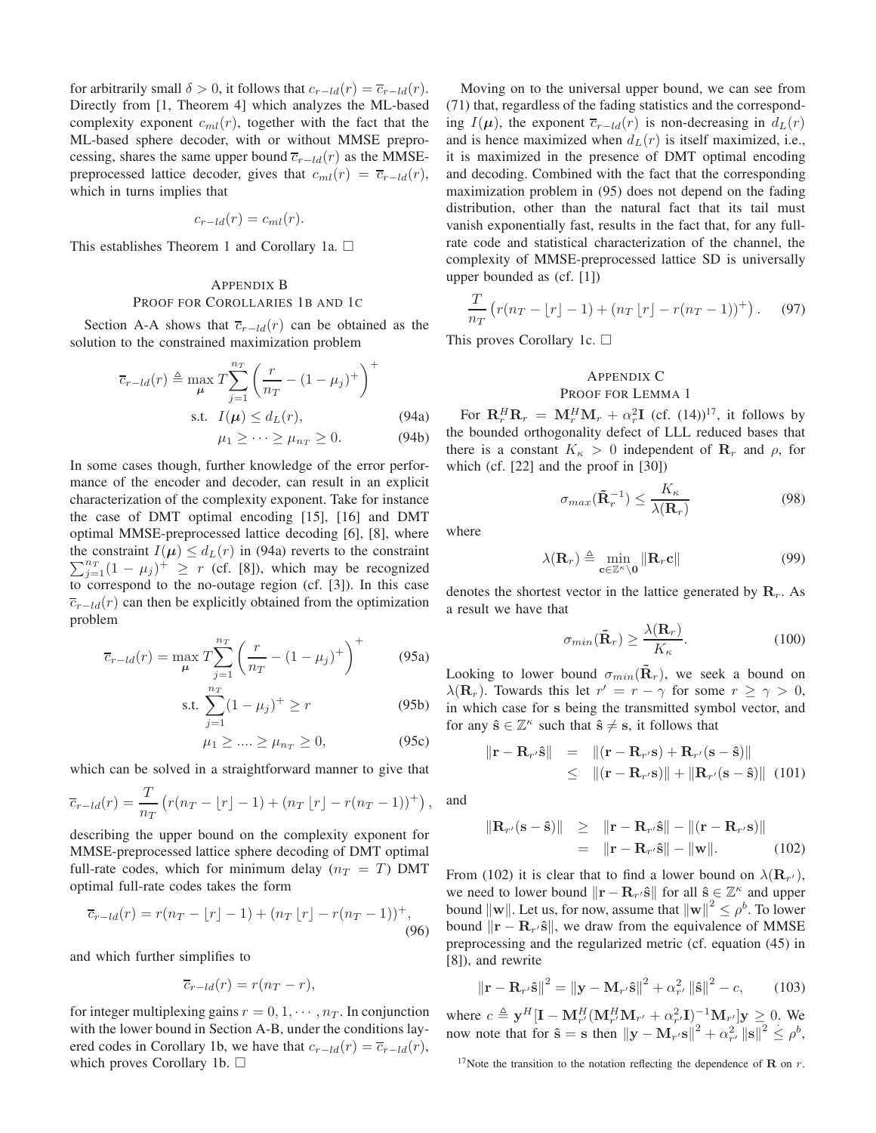for arbitrarily small  $\delta > 0$ , it follows that  $c_{r-ld}(r) = \overline{c}_{r-ld}(r)$ . Directly from [1, Theorem 4] which analyzes the ML-based complexity exponent  $c_{ml}(r)$ , together with the fact that the ML-based sphere decoder, with or without MMSE preprocessing, shares the same upper bound  $\overline{c}_{r-ld}(r)$  as the MMSEpreprocessed lattice decoder, gives that  $c_{ml}(r) = \overline{c}_{r-ld}(r)$ , which in turns implies that

$$
c_{r-ld}(r) = c_{ml}(r).
$$

This establishes Theorem 1 and Corollary 1a.  $\Box$ 

## APPENDIX B PROOF FOR COROLLARIES 1B AND 1C

Section A-A shows that  $\overline{c}_{r-ld}(r)$  can be obtained as the solution to the constrained maximization problem

$$
\overline{c}_{r-ld}(r) \triangleq \max_{\mu} T \sum_{j=1}^{n_T} \left( \frac{r}{n_T} - (1 - \mu_j)^+ \right)^+
$$
  
s.t.  $I(\mu) \leq d_L(r)$ , (94a)

 $\mu_1 \geq \cdots \geq \mu_{n_T} \geq 0.$  (94b)

In some cases though, further knowledge of the error performance of the encoder and decoder, can result in an explicit characterization of the complexity exponent. Take for instance the case of DMT optimal encoding [15], [16] and DMT optimal MMSE-preprocessed lattice decoding [6], [8], where  $\sum_{j=1}^{n} (1 - \mu_j)^+ \geq r$  (cf. [8]), which may be recognized the constraint  $I(\mu) \leq d_L(r)$  in (94a) reverts to the constraint to correspond to the no-outage region (cf. [3]). In this case  $\overline{c}_{r-ld}(r)$  can then be explicitly obtained from the optimization problem

$$
\overline{c}_{r-ld}(r) = \max_{\mu} T \sum_{j=1}^{n_T} \left( \frac{r}{n_T} - (1 - \mu_j)^+ \right)^+ \tag{95a}
$$

s.t. 
$$
\sum_{j=1}^{n_T} (1 - \mu_j)^+ \ge r
$$
 (95b)

$$
\mu_1 \ge \dots \ge \mu_{n_T} \ge 0,\tag{95c}
$$

which can be solved in a straightforward manner to give that

$$
\overline{c}_{r-ld}(r) = \frac{T}{n_T} (r(n_T - \lfloor r \rfloor - 1) + (n_T \lfloor r \rfloor - r(n_T - 1))^{+}),
$$

describing the upper bound on the complexity exponent for MMSE-preprocessed lattice sphere decoding of DMT optimal full-rate codes, which for minimum delay ( $n_T = T$ ) DMT optimal full-rate codes takes the form

$$
\overline{c}_{r-ld}(r) = r(n_T - \lfloor r \rfloor - 1) + (n_T \lfloor r \rfloor - r(n_T - 1))^{+},
$$
\n(96)

and which further simplifies to

$$
\overline{c}_{r-ld}(r) = r(n_T - r),
$$

for integer multiplexing gains  $r = 0, 1, \dots, n_T$ . In conjunction with the lower bound in Section A-B, under the conditions layered codes in Corollary 1b, we have that  $c_{r-ld}(r) = \overline{c}_{r-ld}(r)$ , which proves Corollary 1b.  $\square$ 

Moving on to the universal upper bound, we can see from (71) that, regardless of the fading statistics and the corresponding  $I(\mu)$ , the exponent  $\overline{c}_{r-ld}(r)$  is non-decreasing in  $d<sub>L</sub>(r)$ and is hence maximized when  $d<sub>L</sub>(r)$  is itself maximized, i.e., it is maximized in the presence of DMT optimal encoding and decoding. Combined with the fact that the corresponding maximization problem in (95) does not depend on the fading distribution, other than the natural fact that its tail must vanish exponentially fast, results in the fact that, for any fullrate code and statistical characterization of the channel, the complexity of MMSE-preprocessed lattice SD is universally upper bounded as (cf. [1])

$$
\frac{T}{n_T} \left( r(n_T - \lfloor r \rfloor - 1) + (n_T \lfloor r \rfloor - r(n_T - 1))^+ \right). \tag{97}
$$

This proves Corollary 1c.  $\Box$ 

## APPENDIX C PROOF FOR LEMMA 1

For  $\mathbf{R}_r^H \mathbf{R}_r = \mathbf{M}_r^H \mathbf{M}_r + \alpha_r^2 \mathbf{I}$  (cf. (14))<sup>17</sup>, it follows by the bounded orthogonality defect of LLL reduced bases that there is a constant  $K_{\kappa} > 0$  independent of  $\mathbf{R}_r$  and  $\rho$ , for which (cf. [22] and the proof in [30])

$$
\sigma_{max}(\tilde{\mathbf{R}}_r^{-1}) \le \frac{K_\kappa}{\lambda(\mathbf{R}_r)}
$$
\n(98)

where

$$
\lambda(\mathbf{R}_r) \triangleq \min_{\mathbf{c} \in \mathbb{Z}^\kappa \setminus \mathbf{0}} \|\mathbf{R}_r \mathbf{c}\| \tag{99}
$$

denotes the shortest vector in the lattice generated by  $\mathbf{R}_r$ . As a result we have that

$$
\sigma_{min}(\tilde{\mathbf{R}}_r) \ge \frac{\lambda(\mathbf{R}_r)}{K_\kappa}.\tag{100}
$$

Looking to lower bound  $\sigma_{min}(\mathbf{R}_r)$ , we seek a bound on  $\lambda(\mathbf{R}_r)$ . Towards this let  $r' = r - \gamma$  for some  $r \ge \gamma > 0$ , in which case for s being the transmitted symbol vector, and for any  $\hat{\mathbf{s}} \in \mathbb{Z}^{\kappa}$  such that  $\hat{\mathbf{s}} \neq \mathbf{s}$ , it follows that

$$
\|\mathbf{r} - \mathbf{R}_{r'}\hat{\mathbf{s}}\| = \|(\mathbf{r} - \mathbf{R}_{r'}\mathbf{s}) + \mathbf{R}_{r'}(\mathbf{s} - \hat{\mathbf{s}})\|
$$
  
 
$$
\leq \|(\mathbf{r} - \mathbf{R}_{r'}\mathbf{s})\| + \|\mathbf{R}_{r'}(\mathbf{s} - \hat{\mathbf{s}})\| \quad (101)
$$

and

 $\overline{\phantom{a}}$ 

$$
\begin{array}{rcl} \mathbf{R}_{r'}(\mathbf{s} - \hat{\mathbf{s}}) \| & \geq & \|\mathbf{r} - \mathbf{R}_{r'}\hat{\mathbf{s}}\| - \|(\mathbf{r} - \mathbf{R}_{r'}\mathbf{s})\| \\ & = & \|\mathbf{r} - \mathbf{R}_{r'}\hat{\mathbf{s}}\| - \|\mathbf{w}\|. \end{array} \tag{102}
$$

From (102) it is clear that to find a lower bound on  $\lambda(\mathbf{R}_{r'})$ , we need to lower bound  $\|\mathbf{r} - \mathbf{R}_{r} \cdot \hat{\mathbf{s}}\|$  for all  $\hat{\mathbf{s}} \in \mathbb{Z}^{\kappa}$  and upper bound  $\|\mathbf{w}\|$ . Let us, for now, assume that  $\|\mathbf{w}\|^2 \le \rho^b$ . To lower bound  $\|\mathbf{r} - \mathbf{R}_{r'}\hat{\mathbf{s}}\|$ , we draw from the equivalence of MMSE preprocessing and the regularized metric (cf. equation (45) in [8]), and rewrite

$$
\|\mathbf{r} - \mathbf{R}_{r'}\hat{\mathbf{s}}\|^2 = \|\mathbf{y} - \mathbf{M}_{r'}\hat{\mathbf{s}}\|^2 + \alpha_{r'}^2 \|\hat{\mathbf{s}}\|^2 - c,\qquad(103)
$$

where  $c \triangleq y^H[I - M_{r'}^H(M_{r'}^H M_{r'} + \alpha_{r'}^2 I)^{-1} M_{r'}]y \geq 0$ . We now note that for  $\hat{\mathbf{s}} = \mathbf{s}$  then  $||\mathbf{y} - \mathbf{M}_{r'} \mathbf{s}||^2 + \alpha_{r'}^2 ||\mathbf{s}||^2 \le \rho^b$ ,

<sup>&</sup>lt;sup>17</sup>Note the transition to the notation reflecting the dependence of **R** on  $r$ .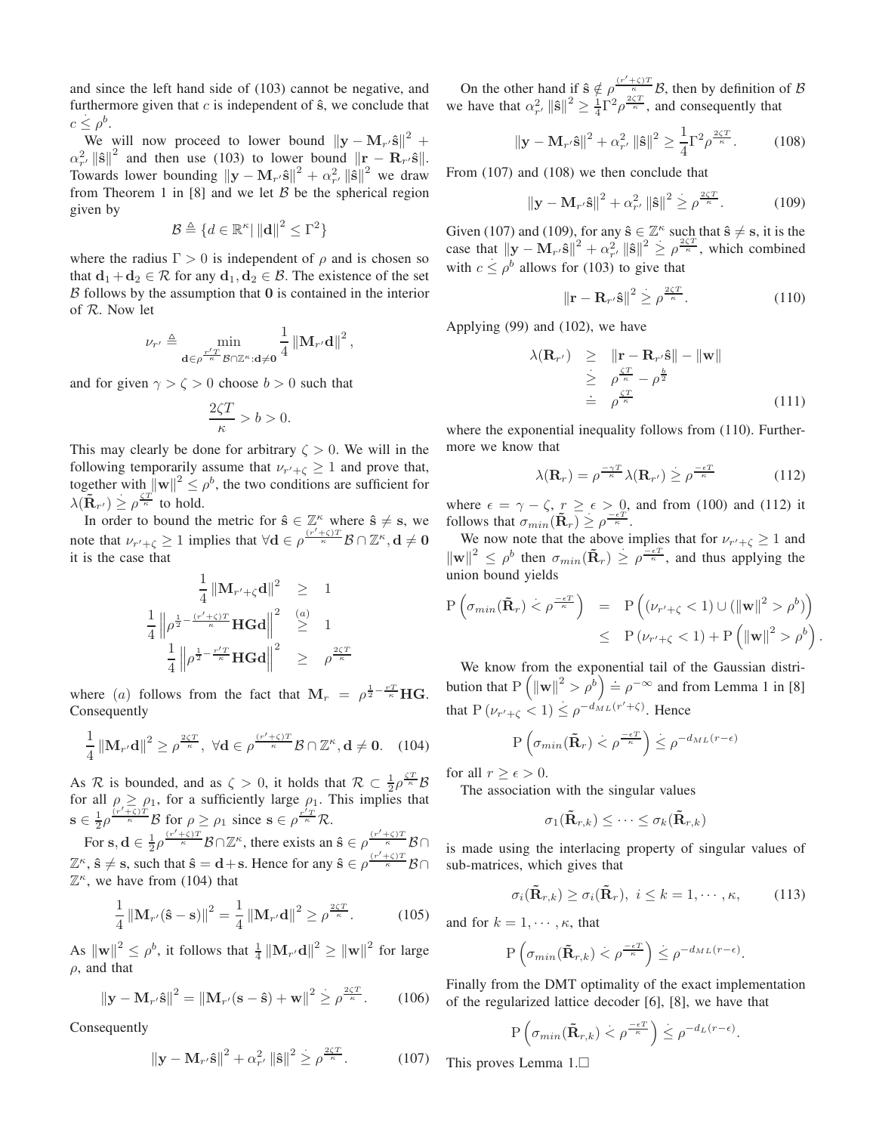and since the left hand side of (103) cannot be negative, and furthermore given that  $c$  is independent of  $\hat{\mathbf{s}}$ , we conclude that  $c \leq \rho^b$ .

We will now proceed to lower bound  $||\mathbf{y} - \mathbf{M}_r \cdot \hat{\mathbf{s}}||^2$  +  $\alpha_{r'}^2 \|\hat{\mathbf{s}}\|^2$  and then use (103) to lower bound  $\|\mathbf{r} - \mathbf{R}_{r'}\hat{\mathbf{s}}\|$ . Towards lower bounding  $\|\mathbf{y} - \mathbf{M}_{r'}\hat{\mathbf{s}}\|^2 + \alpha_{r'}^2 \|\hat{\mathbf{s}}\|^2$  we draw from Theorem 1 in [8] and we let  $\beta$  be the spherical region given by

$$
\mathcal{B} \triangleq \{ d \in \mathbb{R}^{\kappa} | \left\| \mathbf{d} \right\|^2 \leq \Gamma^2 \}
$$

where the radius  $\Gamma > 0$  is independent of  $\rho$  and is chosen so that  $\mathbf{d}_1 + \mathbf{d}_2 \in \mathcal{R}$  for any  $\mathbf{d}_1, \mathbf{d}_2 \in \mathcal{B}$ . The existence of the set  $\beta$  follows by the assumption that 0 is contained in the interior of R. Now let

$$
\nu_{r'} \triangleq \min_{\mathbf{d} \in \rho^{\frac{r'T}{\kappa}} \mathcal{B} \cap \mathbb{Z}^{\kappa} : \mathbf{d} \neq \mathbf{0}} \frac{1}{4} \left\| \mathbf{M}_{r'} \mathbf{d} \right\|^2,
$$

and for given  $\gamma > \zeta > 0$  choose  $b > 0$  such that

$$
\frac{2\zeta T}{\kappa} > b > 0.
$$

This may clearly be done for arbitrary  $\zeta > 0$ . We will in the following temporarily assume that  $\nu_{r'+\zeta} \geq 1$  and prove that, together with  $\|\mathbf{w}\|^2 \leq \rho^b$ , the two conditions are sufficient for  $\lambda(\tilde{\mathbf{R}}_{r'}) \geq \rho^{\frac{\zeta T}{\kappa}}$  to hold.

In order to bound the metric for  $\hat{\mathbf{s}} \in \mathbb{Z}^{\kappa}$  where  $\hat{\mathbf{s}} \neq \mathbf{s}$ , we note that  $v_{r'+\zeta} \ge 1$  implies that  $\forall d \in \rho^{\frac{(r'+\zeta)T}{\kappa}} \mathcal{B} \cap \mathbb{Z}^{\kappa}, d \ne 0$ it is the case that

$$
\frac{1}{4} \|\mathbf{M}_{r'+\zeta}\mathbf{d}\|^2 \geq 1
$$
  

$$
\frac{1}{4} \left\| \rho^{\frac{1}{2} - \frac{(r'+\zeta)T}{\kappa}} \mathbf{H} \mathbf{G} \mathbf{d} \right\|^2 \geq 1
$$
  

$$
\frac{1}{4} \left\| \rho^{\frac{1}{2} - \frac{r'T}{\kappa}} \mathbf{H} \mathbf{G} \mathbf{d} \right\|^2 \geq \rho^{\frac{2\zeta T}{\kappa}}
$$

where (a) follows from the fact that  $M_r = \rho^{\frac{1}{2} - \frac{rT}{\kappa}} H G$ . Consequently

$$
\frac{1}{4} \left\| \mathbf{M}_{r'} \mathbf{d} \right\|^2 \geq \rho^{\frac{2\zeta T}{\kappa}}, \ \forall \mathbf{d} \in \rho^{\frac{(r'+\zeta)T}{\kappa}} \mathcal{B} \cap \mathbb{Z}^{\kappa}, \mathbf{d} \neq \mathbf{0}. \tag{104}
$$

As R is bounded, and as  $\zeta > 0$ , it holds that  $\mathcal{R} \subset \frac{1}{2}\rho^{\frac{\zeta T}{\kappa}}\mathcal{B}$ for all  $\rho \ge \rho_1$ , for a sufficiently large  $\rho_1$ . This implies that s  $\epsilon \frac{1}{2} \rho^{\frac{(r' + \zeta)^T}{\kappa}} \mathcal{B}$  for  $\rho \ge \rho_1$  since  $s \in \rho^{\frac{r'_T}{\kappa}} \mathcal{R}$ .

For  $s, d \in \frac{1}{2}\rho^{\frac{(r'+\zeta)T}{\kappa}} \mathcal{B} \cap \mathbb{Z}^{\kappa}$ , there exists an  $\hat{s} \in \rho^{\frac{(r'+\zeta)T}{\kappa}}$  $\kappa$   $\beta$   $\cap$  $\mathbb{Z}^{\kappa}$ ,  $\hat{\mathbf{s}} \neq \mathbf{s}$ , such that  $\hat{\mathbf{s}} = \mathbf{d} + \mathbf{s}$ . Hence for any  $\hat{\mathbf{s}} \in \rho^{\frac{(r' + \zeta)T}{\kappa}}$  $\kappa$  B∩  $\mathbb{Z}^{\kappa}$ , we have from (104) that

$$
\frac{1}{4} \left\| \mathbf{M}_{r'}(\hat{\mathbf{s}} - \mathbf{s}) \right\|^2 = \frac{1}{4} \left\| \mathbf{M}_{r'} \mathbf{d} \right\|^2 \ge \rho^{\frac{2\zeta T}{\kappa}}.\tag{105}
$$

As  $\|\mathbf{w}\|^2 \le \rho^b$ , it follows that  $\frac{1}{4} \|\mathbf{M}_{r'}\mathbf{d}\|^2 \ge \|\mathbf{w}\|^2$  for large  $\rho$ , and that

$$
\|\mathbf{y} - \mathbf{M}_{r'}\hat{\mathbf{s}}\|^2 = \|\mathbf{M}_{r'}(\mathbf{s} - \hat{\mathbf{s}}) + \mathbf{w}\|^2 \ge \rho^{\frac{2\zeta T}{\kappa}}.
$$
 (106)

Consequently

$$
\|\mathbf{y} - \mathbf{M}_{r'}\hat{\mathbf{s}}\|^2 + \alpha_{r'}^2 \|\hat{\mathbf{s}}\|^2 \ge \rho^{\frac{2\zeta T}{\kappa}}.
$$
 (107)

On the other hand if  $\hat{\mathbf{s}} \notin \frac{p^{(r'+\zeta)T}}{n} \mathcal{B}$ , then by definition of  $\mathcal{B}$ we have that  $\alpha_{r'}^2 ||\hat{\mathbf{s}}||^2 \geq \frac{1}{4} \Gamma^2 \rho^{\frac{2\zeta T}{\kappa}}$ , and consequently that

$$
\|\mathbf{y} - \mathbf{M}_{r'}\hat{\mathbf{s}}\|^2 + \alpha_{r'}^2 \|\hat{\mathbf{s}}\|^2 \ge \frac{1}{4} \Gamma^2 \rho^{\frac{2\zeta T}{\kappa}}.
$$
 (108)

From (107) and (108) we then conclude that

$$
\|\mathbf{y} - \mathbf{M}_{r'}\hat{\mathbf{s}}\|^2 + \alpha_{r'}^2 \|\hat{\mathbf{s}}\|^2 \ge \rho^{\frac{2\zeta T}{\kappa}}.\tag{109}
$$

Given (107) and (109), for any  $\hat{\mathbf{s}} \in \mathbb{Z}^k$  such that  $\hat{\mathbf{s}} \neq \mathbf{s}$ , it is the case that  $||\mathbf{y} - \mathbf{M}_{r'}\hat{\mathbf{s}}||^2 + \alpha_{r'}^2 ||\hat{\mathbf{s}}||^2 \ge \rho^{\frac{2\zeta T}{\kappa}}$ , which combined with  $c \le \rho^b$  allows for (103) to give that

$$
\left\|\mathbf{r} - \mathbf{R}_{\tau'}\hat{\mathbf{s}}\right\|^2 \ge \rho^{\frac{2\zeta T}{\kappa}}.\tag{110}
$$

Applying (99) and (102), we have

$$
\lambda(\mathbf{R}_{r'}) \geq \| \mathbf{r} - \mathbf{R}_{r'} \hat{\mathbf{s}} \| - \| \mathbf{w} \|
$$
  
\n
$$
\geq \rho^{\frac{\zeta T}{\kappa}} - \rho^{\frac{b}{2}}
$$
  
\n
$$
\stackrel{\leq}{=} \rho^{\frac{\zeta T}{\kappa}}
$$
 (111)

where the exponential inequality follows from  $(110)$ . Furthermore we know that

$$
\lambda(\mathbf{R}_r) = \rho^{\frac{-\gamma T}{\kappa}} \lambda(\mathbf{R}_{r'}) \ge \rho^{\frac{-\epsilon T}{\kappa}}
$$
(112)

.

where  $\epsilon = \gamma - \zeta$ ,  $r \geq \epsilon > 0$ , and from (100) and (112) it follows that  $\sigma_{min}(\tilde{\mathbf{R}}_r) \geq \rho^{\frac{-\epsilon T}{\kappa}}$ .

We now note that the above implies that for  $\nu_{r'+\zeta} \geq 1$  and  $\|\mathbf{w}\|^2 \leq \rho^b$  then  $\sigma_{min}(\tilde{\mathbf{R}}_r) \geq \rho^{\frac{-\epsilon T}{\kappa}}$ , and thus applying the union bound yields

$$
P\left(\sigma_{min}(\tilde{\mathbf{R}}_r) < \rho^{\frac{-\epsilon T}{\kappa}}\right) = P\left((\nu_{r'+\zeta} < 1) \cup (\|\mathbf{w}\|^2 > \rho^b)\right)
$$
\n
$$
\leq P\left(\nu_{r'+\zeta} < 1\right) + P\left(\|\mathbf{w}\|^2 > \rho^b\right)
$$

We know from the exponential tail of the Gaussian distribution that  $P\left(\|\mathbf{w}\|^2 > \rho^b\right) \doteq \rho^{-\infty}$  and from Lemma 1 in [8] that  $P(\nu_{r'+\zeta} < 1) \leq \rho^{-d_{ML}(r'+\zeta)}$ . Hence

$$
P\left(\sigma_{min}(\mathbf{\tilde{R}}_r) < \rho^{\frac{-\epsilon T}{\kappa}}\right) \leq \rho^{-d_{ML}(r-\epsilon)}
$$

for all  $r > \epsilon > 0$ .

The association with the singular values

$$
\sigma_1(\mathbf{\tilde{R}}_{r,k}) \leq \cdots \leq \sigma_k(\mathbf{\tilde{R}}_{r,k})
$$

is made using the interlacing property of singular values of sub-matrices, which gives that

$$
\sigma_i(\tilde{\mathbf{R}}_{r,k}) \ge \sigma_i(\tilde{\mathbf{R}}_r), \ i \le k = 1, \cdots, \kappa,
$$
 (113)

and for  $k = 1, \dots, \kappa$ , that

$$
\mathrm{P}\left(\sigma_{min}(\tilde{\mathbf{R}}_{r,k}) < \rho^{\frac{-\epsilon T}{\kappa}}\right) \leq \rho^{-d_{ML}(r-\epsilon)}.
$$

Finally from the DMT optimality of the exact implementation of the regularized lattice decoder [6], [8], we have that

$$
P\left(\sigma_{min}(\tilde{\mathbf{R}}_{r,k}) < \rho^{\frac{-\epsilon T}{\kappa}}\right) \leq \rho^{-d_L(r-\epsilon)}.
$$

This proves Lemma 1.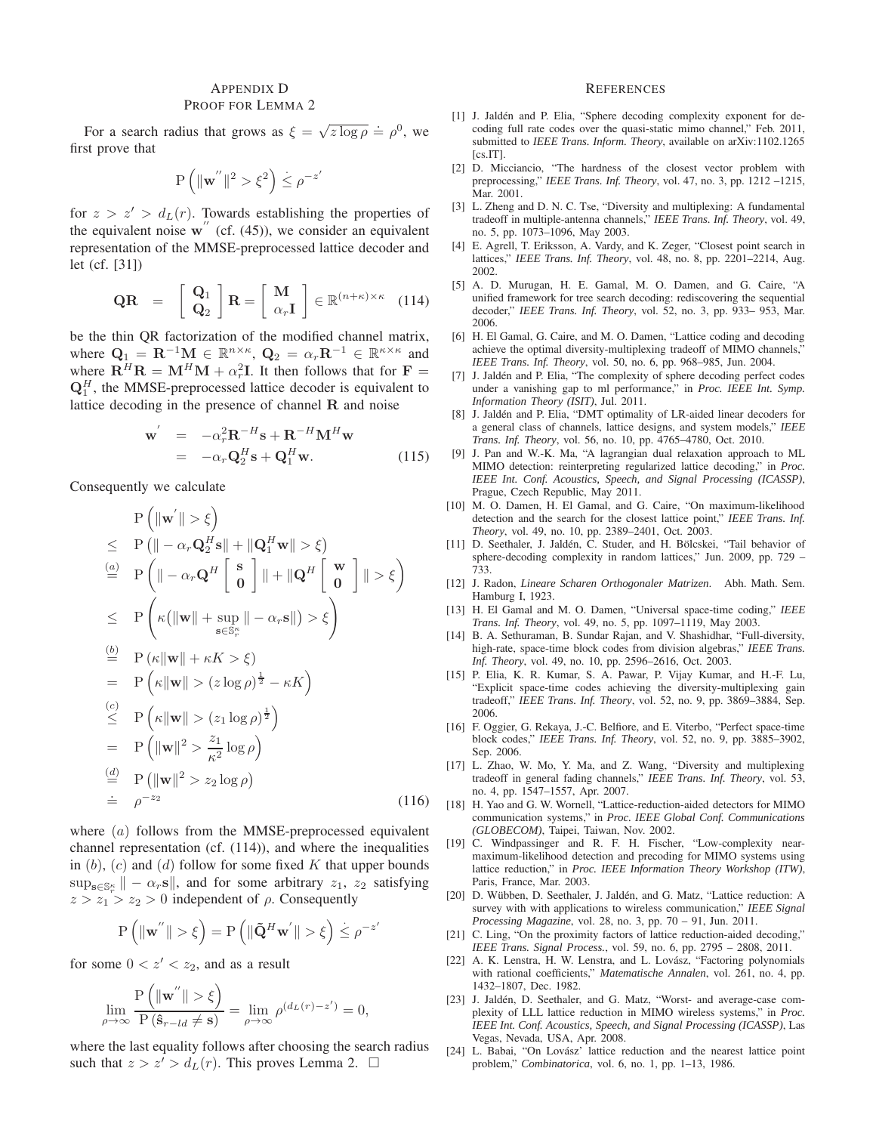# APPENDIX D

### PROOF FOR LEMMA 2

For a search radius that grows as  $\xi = \sqrt{z \log \rho} \doteq \rho^0$ , we first prove that

$$
P\left(\|\mathbf{w}^{''}\|^2 > \xi^2\right) \leq \rho^{-z'}
$$

for  $z > z' > d<sub>L</sub>(r)$ . Towards establishing the properties of the equivalent noise  $w''$  (cf. (45)), we consider an equivalent representation of the MMSE-preprocessed lattice decoder and let (cf. [31])

$$
\mathbf{QR} = \begin{bmatrix} \mathbf{Q}_1 \\ \mathbf{Q}_2 \end{bmatrix} \mathbf{R} = \begin{bmatrix} \mathbf{M} \\ \alpha_r \mathbf{I} \end{bmatrix} \in \mathbb{R}^{(n+\kappa)\times \kappa} \quad (114)
$$

be the thin QR factorization of the modified channel matrix, where  $\mathbf{Q}_1 = \mathbf{R}^{-1} \mathbf{M} \in \mathbb{R}^{n \times \kappa}$ ,  $\mathbf{Q}_2 = \alpha_r \mathbf{R}^{-1} \in \mathbb{R}^{\kappa \times \kappa}$  and where  $\mathbf{R}^H \mathbf{R} = \mathbf{M}^H \mathbf{M} + \alpha_r^2 \mathbf{I}$ . It then follows that for  $\mathbf{F} =$  $\mathbf{Q}_1^H$ , the MMSE-preprocessed lattice decoder is equivalent to lattice decoding in the presence of channel  $R$  and noise

$$
\mathbf{w}' = -\alpha_r^2 \mathbf{R}^{-H} \mathbf{s} + \mathbf{R}^{-H} \mathbf{M}^H \mathbf{w}
$$
  
= -\alpha\_r \mathbf{Q}\_2^H \mathbf{s} + \mathbf{Q}\_1^H \mathbf{w}. \t(115)

Consequently we calculate

$$
P(|w'| > \xi)
$$
  
\n
$$
\leq P(|-\alpha_r \mathbf{Q}_2^H \mathbf{s}|| + ||\mathbf{Q}_1^H \mathbf{w}|| > \xi)
$$
  
\n
$$
\stackrel{(a)}{=} P(|-\alpha_r \mathbf{Q}^H \begin{bmatrix} \mathbf{s} \\ \mathbf{0} \end{bmatrix} || + ||\mathbf{Q}^H \begin{bmatrix} \mathbf{w} \\ \mathbf{0} \end{bmatrix} || > \xi)
$$
  
\n
$$
\leq P\left(\kappa(||\mathbf{w}|| + \sup_{\mathbf{s}\in\mathbb{S}_r^{\kappa}} || - \alpha_r \mathbf{s}||) > \xi\right)
$$
  
\n
$$
\stackrel{(b)}{=} P(\kappa ||\mathbf{w}|| + \kappa K > \xi)
$$
  
\n
$$
= P(\kappa ||\mathbf{w}|| > (z \log \rho)^{\frac{1}{2}} - \kappa K)
$$
  
\n
$$
\leq P(\kappa ||\mathbf{w}|| > (z_1 \log \rho)^{\frac{1}{2}})
$$
  
\n
$$
= P(||\mathbf{w}||^2 > \frac{z_1}{\kappa^2} \log \rho)
$$
  
\n
$$
\stackrel{(d)}{=} P(||\mathbf{w}||^2 > z_2 \log \rho)
$$
  
\n
$$
\stackrel{(d)}{=} P(|\mathbf{w}||^2 > z_2 \log \rho)
$$
  
\n(116)

where  $(a)$  follows from the MMSE-preprocessed equivalent channel representation (cf. (114)), and where the inequalities in  $(b)$ ,  $(c)$  and  $(d)$  follow for some fixed K that upper bounds  $\sup_{\mathbf{s}\in\mathbb{S}_r^{\kappa}}\| - \alpha_r \mathbf{s}\|$ , and for some arbitrary  $z_1, z_2$  satisfying  $z > z_1 > z_2 > 0$  independent of  $\rho$ . Consequently

$$
P\left(\left\|\mathbf{w}^{''}\right\|>\xi\right)=P\left(\left\|\tilde{\mathbf{Q}}^{H}\mathbf{w}^{'}\right\|>\xi\right)\leq\rho^{-z'}
$$

for some  $0 < z' < z_2$ , and as a result

$$
\lim_{\rho \to \infty} \frac{\mathrm{P}\left(\|\mathbf{w}''\| > \xi\right)}{\mathrm{P}\left(\hat{\mathbf{s}}_{r-ld} \neq \mathbf{s}\right)} = \lim_{\rho \to \infty} \rho^{(d_L(r)-z')} = 0,
$$

where the last equality follows after choosing the search radius such that  $z > z' > d_L(r)$ . This proves Lemma 2.  $\Box$ 

#### **REFERENCES**

- [1] J. Jaldén and P. Elia, "Sphere decoding complexity exponent for decoding full rate codes over the quasi-static mimo channel," Feb. 2011, submitted to *IEEE Trans. Inform. Theory*, available on arXiv:1102.1265 [cs.IT].
- [2] D. Micciancio, "The hardness of the closest vector problem with preprocessing," *IEEE Trans. Inf. Theory*, vol. 47, no. 3, pp. 1212 –1215, Mar. 2001.
- [3] L. Zheng and D. N. C. Tse, "Diversity and multiplexing: A fundamental tradeoff in multiple-antenna channels," *IEEE Trans. Inf. Theory*, vol. 49, no. 5, pp. 1073–1096, May 2003.
- [4] E. Agrell, T. Eriksson, A. Vardy, and K. Zeger, "Closest point search in lattices," *IEEE Trans. Inf. Theory*, vol. 48, no. 8, pp. 2201–2214, Aug. 2002.
- [5] A. D. Murugan, H. E. Gamal, M. O. Damen, and G. Caire, "A unified framework for tree search decoding: rediscovering the sequential decoder," *IEEE Trans. Inf. Theory*, vol. 52, no. 3, pp. 933– 953, Mar. 2006.
- [6] H. El Gamal, G. Caire, and M. O. Damen, "Lattice coding and decoding achieve the optimal diversity-multiplexing tradeoff of MIMO channels," *IEEE Trans. Inf. Theory*, vol. 50, no. 6, pp. 968–985, Jun. 2004.
- [7] J. Jaldén and P. Elia, "The complexity of sphere decoding perfect codes under a vanishing gap to ml performance," in *Proc. IEEE Int. Symp. Information Theory (ISIT)*, Jul. 2011.
- [8] J. Jaldén and P. Elia, "DMT optimality of LR-aided linear decoders for a general class of channels, lattice designs, and system models," *IEEE Trans. Inf. Theory*, vol. 56, no. 10, pp. 4765–4780, Oct. 2010.
- [9] J. Pan and W.-K. Ma, "A lagrangian dual relaxation approach to ML MIMO detection: reinterpreting regularized lattice decoding," in *Proc. IEEE Int. Conf. Acoustics, Speech, and Signal Processing (ICASSP)*, Prague, Czech Republic, May 2011.
- [10] M. O. Damen, H. El Gamal, and G. Caire, "On maximum-likelihood detection and the search for the closest lattice point," *IEEE Trans. Inf. Theory*, vol. 49, no. 10, pp. 2389–2401, Oct. 2003.
- [11] D. Seethaler, J. Jaldén, C. Studer, and H. Bölcskei, "Tail behavior of sphere-decoding complexity in random lattices," Jun. 2009, pp. 729 – 733.
- [12] J. Radon, *Lineare Scharen Orthogonaler Matrizen*. Abh. Math. Sem. Hamburg I, 1923.
- [13] H. El Gamal and M. O. Damen, "Universal space-time coding," *IEEE Trans. Inf. Theory*, vol. 49, no. 5, pp. 1097–1119, May 2003.
- [14] B. A. Sethuraman, B. Sundar Rajan, and V. Shashidhar, "Full-diversity, high-rate, space-time block codes from division algebras," *IEEE Trans. Inf. Theory*, vol. 49, no. 10, pp. 2596–2616, Oct. 2003.
- [15] P. Elia, K. R. Kumar, S. A. Pawar, P. Vijay Kumar, and H.-F. Lu, "Explicit space-time codes achieving the diversity-multiplexing gain tradeoff," *IEEE Trans. Inf. Theory*, vol. 52, no. 9, pp. 3869–3884, Sep. 2006.
- [16] F. Oggier, G. Rekaya, J.-C. Belfiore, and E. Viterbo, "Perfect space-time block codes," *IEEE Trans. Inf. Theory*, vol. 52, no. 9, pp. 3885–3902, Sep. 2006.
- [17] L. Zhao, W. Mo, Y. Ma, and Z. Wang, "Diversity and multiplexing tradeoff in general fading channels," *IEEE Trans. Inf. Theory*, vol. 53, no. 4, pp. 1547–1557, Apr. 2007.
- [18] H. Yao and G. W. Wornell, "Lattice-reduction-aided detectors for MIMO communication systems," in *Proc. IEEE Global Conf. Communications (GLOBECOM)*, Taipei, Taiwan, Nov. 2002.
- [19] C. Windpassinger and R. F. H. Fischer, "Low-complexity nearmaximum-likelihood detection and precoding for MIMO systems using lattice reduction," in *Proc. IEEE Information Theory Workshop (ITW)*, Paris, France, Mar. 2003.
- [20] D. Wübben, D. Seethaler, J. Jaldén, and G. Matz, "Lattice reduction: A survey with with applications to wireless communication," *IEEE Signal Processing Magazine*, vol. 28, no. 3, pp. 70 – 91, Jun. 2011.
- [21] C. Ling, "On the proximity factors of lattice reduction-aided decoding," *IEEE Trans. Signal Process.*, vol. 59, no. 6, pp. 2795 – 2808, 2011.
- [22] A. K. Lenstra, H. W. Lenstra, and L. Lovász, "Factoring polynomials with rational coefficients," *Matematische Annalen*, vol. 261, no. 4, pp. 1432–1807, Dec. 1982.
- [23] J. Jaldén, D. Seethaler, and G. Matz, "Worst- and average-case complexity of LLL lattice reduction in MIMO wireless systems," in *Proc. IEEE Int. Conf. Acoustics, Speech, and Signal Processing (ICASSP)*, Las Vegas, Nevada, USA, Apr. 2008.
- [24] L. Babai, "On Lovász' lattice reduction and the nearest lattice point problem," *Combinatorica*, vol. 6, no. 1, pp. 1–13, 1986.